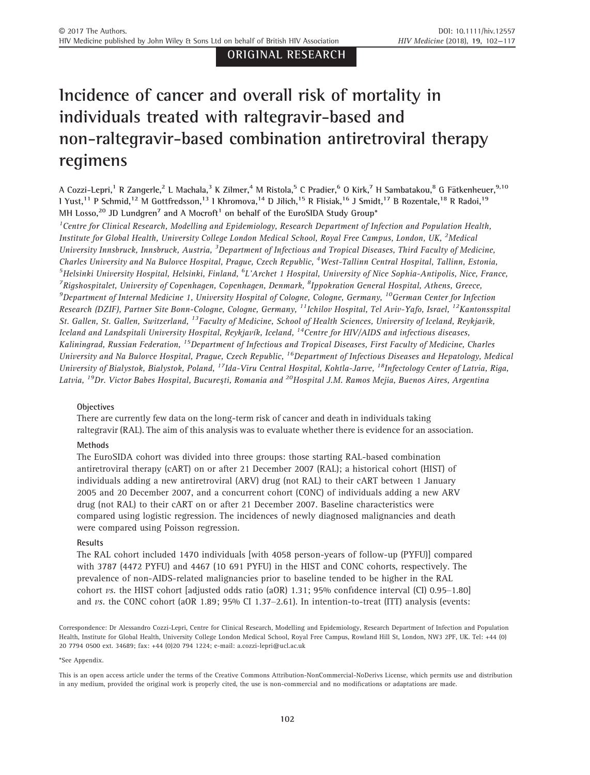# Incidence of cancer and overall risk of mortality in individuals treated with raltegravir-based and non-raltegravir-based combination antiretroviral therapy regimens

ORIGINAL RESEARCH

A Cozzi-Lepri,<sup>1</sup> R Zangerle,<sup>2</sup> L Machala,<sup>3</sup> K Zilmer,<sup>4</sup> M Ristola,<sup>5</sup> C Pradier,<sup>6</sup> O Kirk,<sup>7</sup> H Sambatakou,<sup>8</sup> G Fätkenheuer,<sup>9,10</sup> l Yust,<sup>11</sup> P Schmid,<sup>12</sup> M Gottfredsson,<sup>13</sup> l Khromova,<sup>14</sup> D Jilich,<sup>15</sup> R Flisiak,<sup>16</sup> J Smidt,<sup>17</sup> B Rozentale,<sup>18</sup> R Radoi,<sup>19</sup> MH Losso,<sup>20</sup> JD Lundgren<sup>7</sup> and A Mocroft<sup>1</sup> on behalf of the EuroSIDA Study Group<sup>\*</sup>

<sup>1</sup> Centre for Clinical Research, Modelling and Epidemiology, Research Department of Infection and Population Health, Institute for Global Health, University College London Medical School, Royal Free Campus, London, UK, <sup>2</sup>Medical University Innsbruck, Innsbruck, Austria, <sup>3</sup>Department of Infectious and Tropical Diseases, Third Faculty of Medicine, Charles University and Na Bulovce Hospital, Prague, Czech Republic, <sup>4</sup>West-Tallinn Central Hospital, Tallinn, Estonia, <sup>5</sup>Helsinki University Hospital, Helsinki, Finland, <sup>6</sup>L'Archet 1 Hospital, University of Nice Sophia-Antipolis, Nice, France,  $^7$ Rigshospitalet, University of Copenhagen, Copenhagen, Denmark,  $^8$ Ippokration General Hospital, Athens, Greece,  $^9$ Department of Internal Medicine 1, University Hospital of Cologne, Cologne, Germany,  $^{10}$ German Center for Infection Research (DZIF), Partner Site Bonn-Cologne, Cologne, Germany, <sup>11</sup>Ichilov Hospital, Tel Aviv-Yafo, Israel, <sup>12</sup>Kantonsspital St. Gallen, St. Gallen, Switzerland, <sup>13</sup>Faculty of Medicine, School of Health Sciences, University of Iceland, Reykjavik, Iceland and Landspitali University Hospital, Reykjavík, Iceland, <sup>14</sup>Centre for HIV/AIDS and infectious diseases, Kaliningrad, Russian Federation, 15Department of Infectious and Tropical Diseases, First Faculty of Medicine, Charles University and Na Bulovce Hospital, Prague, Czech Republic, <sup>16</sup>Department of Infectious Diseases and Hepatology, Medical University of Bialystok, Bialystok, Poland, 17Ida-Viru Central Hospital, Kohtla-Jarve, 18Infectology Center of Latvia, Riga, Latvia, <sup>19</sup>Dr. Victor Babes Hospital, Bucuresti, Romania and <sup>20</sup>Hospital J.M. Ramos Mejia, Buenos Aires, Argentina

## **Objectives**

There are currently few data on the long-term risk of cancer and death in individuals taking raltegravir (RAL). The aim of this analysis was to evaluate whether there is evidence for an association.

## Methods

The EuroSIDA cohort was divided into three groups: those starting RAL-based combination antiretroviral therapy (cART) on or after 21 December 2007 (RAL); a historical cohort (HIST) of individuals adding a new antiretroviral (ARV) drug (not RAL) to their cART between 1 January 2005 and 20 December 2007, and a concurrent cohort (CONC) of individuals adding a new ARV drug (not RAL) to their cART on or after 21 December 2007. Baseline characteristics were compared using logistic regression. The incidences of newly diagnosed malignancies and death were compared using Poisson regression.

## Results

The RAL cohort included 1470 individuals [with 4058 person-years of follow-up (PYFU)] compared with 3787 (4472 PYFU) and 4467 (10 691 PYFU) in the HIST and CONC cohorts, respectively. The prevalence of non-AIDS-related malignancies prior to baseline tended to be higher in the RAL cohort vs. the HIST cohort [adjusted odds ratio (aOR) 1.31; 95% confidence interval (CI) 0.95–1.80] and vs. the CONC cohort (aOR 1.89; 95% CI 1.37–2.61). In intention-to-treat (ITT) analysis (events:

Correspondence: Dr Alessandro Cozzi-Lepri, Centre for Clinical Research, Modelling and Epidemiology, Research Department of Infection and Population Health, Institute for Global Health, University College London Medical School, Royal Free Campus, Rowland Hill St, London, NW3 2PF, UK. Tel: +44 (0) 20 7794 0500 ext. 34689; fax: +44 (0)20 794 1224; e-mail: a.cozzi-lepri@ucl.ac.uk

#### \*See Appendix.

This is an open access article under the terms of the [Creative Commons Attribution-NonCommercial-NoDerivs](http://creativecommons.org/licenses/by-nc-nd/4.0/) License, which permits use and distribution in any medium, provided the original work is properly cited, the use is non-commercial and no modifications or adaptations are made.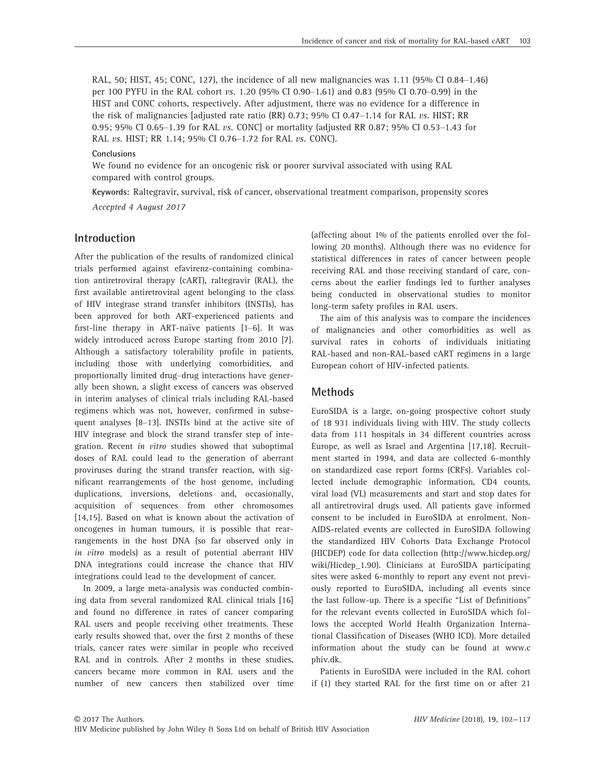RAL, 50; HIST, 45; CONC, 127), the incidence of all new malignancies was 1.11 (95% CI 0.84–1.46) per 100 PYFU in the RAL cohort vs. 1.20 (95% CI 0.90–1.61) and 0.83 (95% CI 0.70–0.99) in the HIST and CONC cohorts, respectively. After adjustment, there was no evidence for a difference in the risk of malignancies [adjusted rate ratio (RR)  $0.73$ ; 95% CI 0.47–1.14 for RAL vs. HIST; RR 0.95; 95% CI 0.65–1.39 for RAL *vs*. CONC or mortality (adjusted RR 0.87; 95% CI 0.53–1.43 for RAL vs. HIST; RR 1.14; 95% CI 0.76–1.72 for RAL vs. CONC).

## Conclusions

We found no evidence for an oncogenic risk or poorer survival associated with using RAL compared with control groups.

Keywords: Raltegravir, survival, risk of cancer, observational treatment comparison, propensity scores

Accepted 4 August 2017

# Introduction

After the publication of the results of randomized clinical trials performed against efavirenz-containing combination antiretroviral therapy (cART), raltegravir (RAL), the first available antiretroviral agent belonging to the class of HIV integrase strand transfer inhibitors (INSTIs), has been approved for both ART-experienced patients and first-line therapy in ART-naïve patients  $[1-6]$ . It was widely introduced across Europe starting from 2010 [7]. Although a satisfactory tolerability profile in patients, including those with underlying comorbidities, and proportionally limited drug–drug interactions have generally been shown, a slight excess of cancers was observed in interim analyses of clinical trials including RAL-based regimens which was not, however, confirmed in subsequent analyses [8–13]. INSTIs bind at the active site of HIV integrase and block the strand transfer step of integration. Recent in vitro studies showed that suboptimal doses of RAL could lead to the generation of aberrant proviruses during the strand transfer reaction, with significant rearrangements of the host genome, including duplications, inversions, deletions and, occasionally, acquisition of sequences from other chromosomes [14,15]. Based on what is known about the activation of oncogenes in human tumours, it is possible that rearrangements in the host DNA (so far observed only in in vitro models) as a result of potential aberrant HIV DNA integrations could increase the chance that HIV integrations could lead to the development of cancer.

In 2009, a large meta-analysis was conducted combining data from several randomized RAL clinical trials [16] and found no difference in rates of cancer comparing RAL users and people receiving other treatments. These early results showed that, over the first 2 months of these trials, cancer rates were similar in people who received RAL and in controls. After 2 months in these studies, cancers became more common in RAL users and the number of new cancers then stabilized over time (affecting about 1% of the patients enrolled over the following 20 months). Although there was no evidence for statistical differences in rates of cancer between people receiving RAL and those receiving standard of care, concerns about the earlier findings led to further analyses being conducted in observational studies to monitor long-term safety profiles in RAL users.

The aim of this analysis was to compare the incidences of malignancies and other comorbidities as well as survival rates in cohorts of individuals initiating RAL-based and non-RAL-based cART regimens in a large European cohort of HIV-infected patients.

## Methods

EuroSIDA is a large, on-going prospective cohort study of 18 931 individuals living with HIV. The study collects data from 111 hospitals in 34 different countries across Europe, as well as Israel and Argentina [17,18]. Recruitment started in 1994, and data are collected 6-monthly on standardized case report forms (CRFs). Variables collected include demographic information, CD4 counts, viral load (VL) measurements and start and stop dates for all antiretroviral drugs used. All patients gave informed consent to be included in EuroSIDA at enrolment. Non-AIDS-related events are collected in EuroSIDA following the standardized HIV Cohorts Data Exchange Protocol (HICDEP) code for data collection ([http://www.hicdep.org/](http://www.hicdep.org/wiki/Hicdep_1.90) [wiki/Hicdep\\_1.90\)](http://www.hicdep.org/wiki/Hicdep_1.90). Clinicians at EuroSIDA participating sites were asked 6-monthly to report any event not previously reported to EuroSIDA, including all events since the last follow-up. There is a specific "List of Definitions" for the relevant events collected in EuroSIDA which follows the accepted World Health Organization International Classification of Diseases (WHO ICD). More detailed information about the study can be found at [www.c](http://www.cphiv.dk) [phiv.dk](http://www.cphiv.dk).

Patients in EuroSIDA were included in the RAL cohort if (1) they started RAL for the first time on or after 21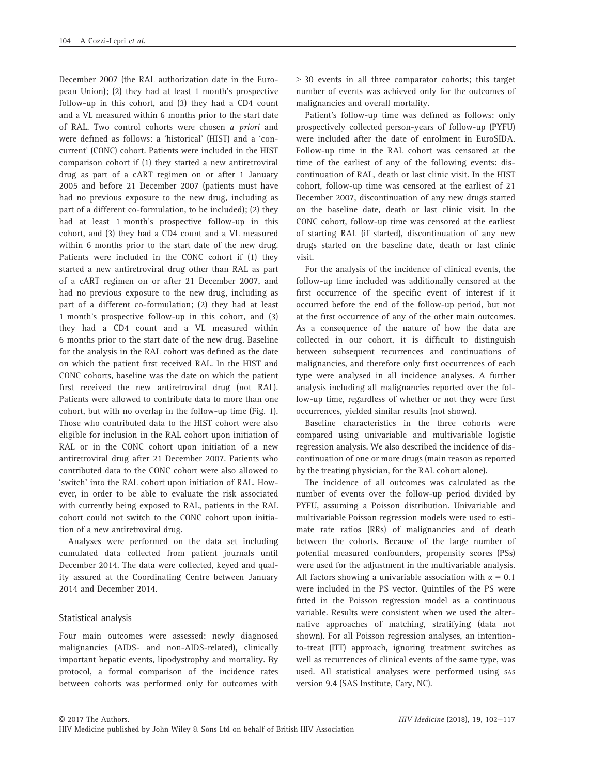December 2007 (the RAL authorization date in the European Union); (2) they had at least 1 month's prospective follow-up in this cohort, and (3) they had a CD4 count and a VL measured within 6 months prior to the start date of RAL. Two control cohorts were chosen a priori and were defined as follows: a 'historical' (HIST) and a 'concurrent' (CONC) cohort. Patients were included in the HIST comparison cohort if (1) they started a new antiretroviral drug as part of a cART regimen on or after 1 January 2005 and before 21 December 2007 (patients must have had no previous exposure to the new drug, including as part of a different co-formulation, to be included); (2) they had at least 1 month's prospective follow-up in this cohort, and (3) they had a CD4 count and a VL measured within 6 months prior to the start date of the new drug. Patients were included in the CONC cohort if (1) they started a new antiretroviral drug other than RAL as part of a cART regimen on or after 21 December 2007, and had no previous exposure to the new drug, including as part of a different co-formulation; (2) they had at least 1 month's prospective follow-up in this cohort, and (3) they had a CD4 count and a VL measured within 6 months prior to the start date of the new drug. Baseline for the analysis in the RAL cohort was defined as the date on which the patient first received RAL. In the HIST and CONC cohorts, baseline was the date on which the patient first received the new antiretroviral drug (not RAL). Patients were allowed to contribute data to more than one cohort, but with no overlap in the follow-up time (Fig. 1). Those who contributed data to the HIST cohort were also eligible for inclusion in the RAL cohort upon initiation of RAL or in the CONC cohort upon initiation of a new antiretroviral drug after 21 December 2007. Patients who contributed data to the CONC cohort were also allowed to 'switch' into the RAL cohort upon initiation of RAL. However, in order to be able to evaluate the risk associated with currently being exposed to RAL, patients in the RAL cohort could not switch to the CONC cohort upon initiation of a new antiretroviral drug.

Analyses were performed on the data set including cumulated data collected from patient journals until December 2014. The data were collected, keyed and quality assured at the Coordinating Centre between January 2014 and December 2014.

#### Statistical analysis

Four main outcomes were assessed: newly diagnosed malignancies (AIDS- and non-AIDS-related), clinically important hepatic events, lipodystrophy and mortality. By protocol, a formal comparison of the incidence rates between cohorts was performed only for outcomes with > 30 events in all three comparator cohorts; this target number of events was achieved only for the outcomes of malignancies and overall mortality.

Patient's follow-up time was defined as follows: only prospectively collected person-years of follow-up (PYFU) were included after the date of enrolment in EuroSIDA. Follow-up time in the RAL cohort was censored at the time of the earliest of any of the following events: discontinuation of RAL, death or last clinic visit. In the HIST cohort, follow-up time was censored at the earliest of 21 December 2007, discontinuation of any new drugs started on the baseline date, death or last clinic visit. In the CONC cohort, follow-up time was censored at the earliest of starting RAL (if started), discontinuation of any new drugs started on the baseline date, death or last clinic visit.

For the analysis of the incidence of clinical events, the follow-up time included was additionally censored at the first occurrence of the specific event of interest if it occurred before the end of the follow-up period, but not at the first occurrence of any of the other main outcomes. As a consequence of the nature of how the data are collected in our cohort, it is difficult to distinguish between subsequent recurrences and continuations of malignancies, and therefore only first occurrences of each type were analysed in all incidence analyses. A further analysis including all malignancies reported over the follow-up time, regardless of whether or not they were first occurrences, yielded similar results (not shown).

Baseline characteristics in the three cohorts were compared using univariable and multivariable logistic regression analysis. We also described the incidence of discontinuation of one or more drugs (main reason as reported by the treating physician, for the RAL cohort alone).

The incidence of all outcomes was calculated as the number of events over the follow-up period divided by PYFU, assuming a Poisson distribution. Univariable and multivariable Poisson regression models were used to estimate rate ratios (RRs) of malignancies and of death between the cohorts. Because of the large number of potential measured confounders, propensity scores (PSs) were used for the adjustment in the multivariable analysis. All factors showing a univariable association with  $\alpha = 0.1$ were included in the PS vector. Quintiles of the PS were fitted in the Poisson regression model as a continuous variable. Results were consistent when we used the alternative approaches of matching, stratifying (data not shown). For all Poisson regression analyses, an intentionto-treat (ITT) approach, ignoring treatment switches as well as recurrences of clinical events of the same type, was used. All statistical analyses were performed using SAS version 9.4 (SAS Institute, Cary, NC).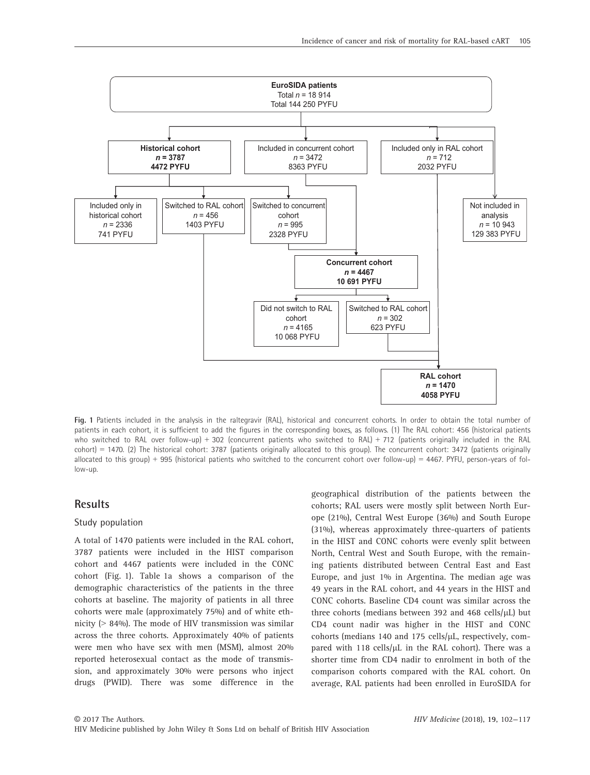

Fig. 1 Patients included in the analysis in the raltegravir (RAL), historical and concurrent cohorts. In order to obtain the total number of patients in each cohort, it is sufficient to add the figures in the corresponding boxes, as follows. (1) The RAL cohort: 456 (historical patients who switched to RAL over follow-up) + 302 (concurrent patients who switched to RAL) + 712 (patients originally included in the RAL cohort) = 1470. (2) The historical cohort: 3787 (patients originally allocated to this group). The concurrent cohort: 3472 (patients originally allocated to this group) + 995 (historical patients who switched to the concurrent cohort over follow-up) = 4467. PYFU, person-years of follow-up.

# Results

### Study population

A total of 1470 patients were included in the RAL cohort, 3787 patients were included in the HIST comparison cohort and 4467 patients were included in the CONC cohort (Fig. 1). Table 1a shows a comparison of the demographic characteristics of the patients in the three cohorts at baseline. The majority of patients in all three cohorts were male (approximately 75%) and of white ethnicity (> 84%). The mode of HIV transmission was similar across the three cohorts. Approximately 40% of patients were men who have sex with men (MSM), almost 20% reported heterosexual contact as the mode of transmission, and approximately 30% were persons who inject drugs (PWID). There was some difference in the geographical distribution of the patients between the cohorts; RAL users were mostly split between North Europe (21%), Central West Europe (36%) and South Europe (31%), whereas approximately three-quarters of patients in the HIST and CONC cohorts were evenly split between North, Central West and South Europe, with the remaining patients distributed between Central East and East Europe, and just 1% in Argentina. The median age was 49 years in the RAL cohort, and 44 years in the HIST and CONC cohorts. Baseline CD4 count was similar across the three cohorts (medians between 392 and 468 cells/uL) but CD4 count nadir was higher in the HIST and CONC cohorts (medians 140 and 175 cells/ $\mu$ L, respectively, compared with 118 cells/ $\mu$ L in the RAL cohort). There was a shorter time from CD4 nadir to enrolment in both of the comparison cohorts compared with the RAL cohort. On average, RAL patients had been enrolled in EuroSIDA for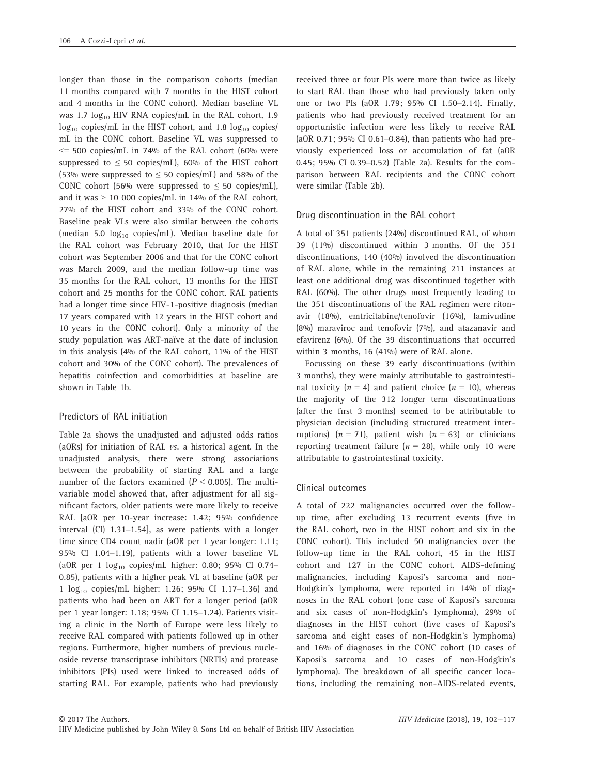longer than those in the comparison cohorts (median 11 months compared with 7 months in the HIST cohort and 4 months in the CONC cohort). Median baseline VL was 1.7  $log_{10}$  HIV RNA copies/mL in the RAL cohort, 1.9  $log_{10}$  copies/mL in the HIST cohort, and 1.8  $log_{10}$  copies/ mL in the CONC cohort. Baseline VL was suppressed to  $\epsilon$  = 500 copies/mL in 74% of the RAL cohort (60% were suppressed to  $\leq 50$  copies/mL), 60% of the HIST cohort (53% were suppressed to  $\leq$  50 copies/mL) and 58% of the CONC cohort (56% were suppressed to  $\leq$  50 copies/mL), and it was  $> 10000$  copies/mL in 14% of the RAL cohort, 27% of the HIST cohort and 33% of the CONC cohort. Baseline peak VLs were also similar between the cohorts (median 5.0  $log_{10}$  copies/mL). Median baseline date for the RAL cohort was February 2010, that for the HIST cohort was September 2006 and that for the CONC cohort was March 2009, and the median follow-up time was 35 months for the RAL cohort, 13 months for the HIST cohort and 25 months for the CONC cohort. RAL patients had a longer time since HIV-1-positive diagnosis (median 17 years compared with 12 years in the HIST cohort and 10 years in the CONC cohort). Only a minority of the study population was ART-naïve at the date of inclusion in this analysis (4% of the RAL cohort, 11% of the HIST cohort and 30% of the CONC cohort). The prevalences of hepatitis coinfection and comorbidities at baseline are shown in Table 1b.

#### Predictors of RAL initiation

Table 2a shows the unadjusted and adjusted odds ratios (aORs) for initiation of RAL  $\nu$ s. a historical agent. In the unadjusted analysis, there were strong associations between the probability of starting RAL and a large number of the factors examined ( $P < 0.005$ ). The multivariable model showed that, after adjustment for all significant factors, older patients were more likely to receive RAL [aOR per 10-year increase: 1.42; 95% confidence interval (CI) 1.31–1.54], as were patients with a longer time since CD4 count nadir (aOR per 1 year longer: 1.11; 95% CI 1.04–1.19), patients with a lower baseline VL (aOR per 1  $log_{10}$  copies/mL higher: 0.80; 95% CI 0.74– 0.85), patients with a higher peak VL at baseline (aOR per 1  $log_{10}$  copies/mL higher: 1.26; 95% CI 1.17–1.36) and patients who had been on ART for a longer period (aOR per 1 year longer: 1.18; 95% CI 1.15–1.24). Patients visiting a clinic in the North of Europe were less likely to receive RAL compared with patients followed up in other regions. Furthermore, higher numbers of previous nucleoside reverse transcriptase inhibitors (NRTIs) and protease inhibitors (PIs) used were linked to increased odds of starting RAL. For example, patients who had previously

received three or four PIs were more than twice as likely to start RAL than those who had previously taken only one or two PIs (aOR 1.79; 95% CI 1.50–2.14). Finally, patients who had previously received treatment for an opportunistic infection were less likely to receive RAL (aOR 0.71; 95% CI 0.61–0.84), than patients who had previously experienced loss or accumulation of fat (aOR 0.45; 95% CI 0.39–0.52) (Table 2a). Results for the comparison between RAL recipients and the CONC cohort were similar (Table 2b).

#### Drug discontinuation in the RAL cohort

A total of 351 patients (24%) discontinued RAL, of whom 39 (11%) discontinued within 3 months. Of the 351 discontinuations, 140 (40%) involved the discontinuation of RAL alone, while in the remaining 211 instances at least one additional drug was discontinued together with RAL (60%). The other drugs most frequently leading to the 351 discontinuations of the RAL regimen were ritonavir (18%), emtricitabine/tenofovir (16%), lamivudine (8%) maraviroc and tenofovir (7%), and atazanavir and efavirenz (6%). Of the 39 discontinuations that occurred within 3 months, 16 (41%) were of RAL alone.

Focussing on these 39 early discontinuations (within 3 months), they were mainly attributable to gastrointestinal toxicity ( $n = 4$ ) and patient choice ( $n = 10$ ), whereas the majority of the 312 longer term discontinuations (after the first 3 months) seemed to be attributable to physician decision (including structured treatment interruptions)  $(n = 71)$ , patient wish  $(n = 63)$  or clinicians reporting treatment failure ( $n = 28$ ), while only 10 were attributable to gastrointestinal toxicity.

#### Clinical outcomes

A total of 222 malignancies occurred over the followup time, after excluding 13 recurrent events (five in the RAL cohort, two in the HIST cohort and six in the CONC cohort). This included 50 malignancies over the follow-up time in the RAL cohort, 45 in the HIST cohort and 127 in the CONC cohort. AIDS-defining malignancies, including Kaposi's sarcoma and non-Hodgkin's lymphoma, were reported in 14% of diagnoses in the RAL cohort (one case of Kaposi's sarcoma and six cases of non-Hodgkin's lymphoma), 29% of diagnoses in the HIST cohort (five cases of Kaposi's sarcoma and eight cases of non-Hodgkin's lymphoma) and 16% of diagnoses in the CONC cohort (10 cases of Kaposi's sarcoma and 10 cases of non-Hodgkin's lymphoma). The breakdown of all specific cancer locations, including the remaining non-AIDS-related events,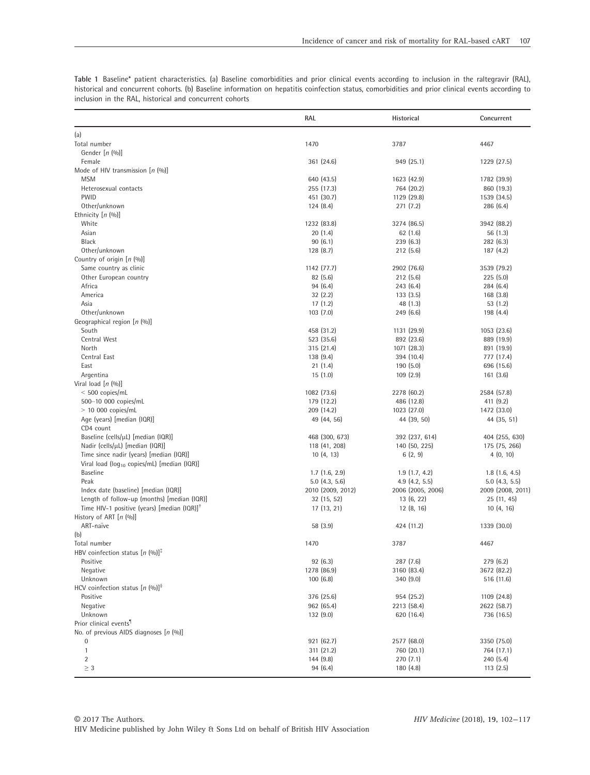Table 1 Baseline\* patient characteristics. (a) Baseline comorbidities and prior clinical events according to inclusion in the raltegravir (RAL), historical and concurrent cohorts. (b) Baseline information on hepatitis coinfection status, comorbidities and prior clinical events according to inclusion in the RAL, historical and concurrent cohorts

|                                                         | RAL                | Historical         | Concurrent        |
|---------------------------------------------------------|--------------------|--------------------|-------------------|
| (a)                                                     |                    |                    |                   |
| Total number                                            | 1470               | 3787               | 4467              |
| Gender $[n (06)]$                                       |                    |                    |                   |
| Female                                                  | 361 (24.6)         | 949 (25.1)         | 1229 (27.5)       |
| Mode of HIV transmission $[n (96)]$                     |                    |                    |                   |
| <b>MSM</b>                                              | 640 (43.5)         | 1623 (42.9)        | 1782 (39.9)       |
| Heterosexual contacts                                   | 255 (17.3)         | 764 (20.2)         | 860 (19.3)        |
| <b>PWID</b>                                             | 451 (30.7)         | 1129 (29.8)        | 1539 (34.5)       |
| Other/unknown                                           | 124(8.4)           | 271(7.2)           | 286(6.4)          |
| Ethnicity $[n (96)]$                                    |                    |                    |                   |
| White                                                   | 1232 (83.8)        | 3274 (86.5)        | 3942 (88.2)       |
| Asian                                                   | 20(1.4)            | 62(1.6)            | 56 (1.3)          |
| Black                                                   | 90(6.1)            | 239(6.3)           | 282(6.3)          |
| Other/unknown                                           | 128(8.7)           | 212(5.6)           | 187(4.2)          |
| Country of origin [n (%)]                               |                    |                    |                   |
| Same country as clinic                                  | 1142 (77.7)        | 2902 (76.6)        | 3539 (79.2)       |
| Other European country                                  | 82(5.6)            | 212(5.6)           | 225(5.0)          |
| Africa                                                  |                    |                    |                   |
|                                                         | 94(6.4)            | 243(6.4)           | 284(6.4)          |
| America                                                 | 32(2.2)            | 133(3.5)           | 168(3.8)          |
| Asia                                                    | 17(1.2)            | 48 (1.3)           | 53(1.2)           |
| Other/unknown                                           | 103(7.0)           | 249 (6.6)          | 198 (4.4)         |
| Geographical region [n (%)]                             |                    |                    |                   |
| South                                                   | 458 (31.2)         | 1131 (29.9)        | 1053 (23.6)       |
| Central West                                            | 523 (35.6)         | 892 (23.6)         | 889 (19.9)        |
| North                                                   | 315(21.4)          | 1071 (28.3)        | 891 (19.9)        |
| Central East                                            | 138(9.4)           | 394 (10.4)         | 777 (17.4)        |
| East                                                    | 21(1.4)            | 190(5.0)           | 696 (15.6)        |
| Argentina                                               | 15(1.0)            | 109(2.9)           | 161(3.6)          |
| Viral load $[n (96)]$                                   |                    |                    |                   |
| $<$ 500 copies/mL                                       | 1082 (73.6)        | 2278 (60.2)        | 2584 (57.8)       |
| 500-10 000 copies/mL                                    | 179 (12.2)         | 486 (12.8)         | 411 (9.2)         |
| $> 10000$ copies/mL                                     | 209 (14.2)         | 1023 (27.0)        | 1472 (33.0)       |
| Age (years) [median (IQR)]                              | 49 (44, 56)        | 44 (39, 50)        | 44 (35, 51)       |
| CD4 count                                               |                    |                    |                   |
| Baseline (cells/µL) [median (IQR)]                      | 468 (300, 673)     | 392 (237, 614)     | 404 (255, 630)    |
| Nadir (cells/µL) [median (IQR)]                         | 118 (41, 208)      | 140 (50, 225)      | 175 (75, 266)     |
| Time since nadir (years) [median (IQR)]                 | 10(4, 13)          | 6(2, 9)            | 4(0, 10)          |
| Viral load ( $log_{10}$ copies/mL) [median (IQR)]       |                    |                    |                   |
| Baseline                                                | $1.7$ $(1.6, 2.9)$ | 1.9(1.7, 4.2)      | $1.8$ (1.6, 4.5)  |
| Peak                                                    | $5.0$ (4.3, 5.6)   | $4.9$ $(4.2, 5.5)$ | $5.0$ (4.3, 5.5)  |
| Index date (baseline) [median (IQR)]                    | 2010 (2009, 2012)  | 2006 (2005, 2006)  | 2009 (2008, 2011) |
| Length of follow-up (months) [median (IQR)]             | 32(15, 52)         | 13(6, 22)          | 25(11, 45)        |
| Time HIV-1 positive (years) [median (IQR)] <sup>†</sup> | 17 (13, 21)        | 12(8, 16)          | 10(4, 16)         |
| History of ART [n (%)]                                  |                    |                    |                   |
| ART-naïve                                               | 58 (3.9)           | 424 (11.2)         | 1339 (30.0)       |
| (b)                                                     |                    |                    |                   |
| Total number                                            | 1470               | 3787               | 4467              |
| HBV coinfection status $[n (06)]^*$                     |                    |                    |                   |
| Positive                                                | 92(6.3)            | 287 (7.6)          | 279(6.2)          |
| Negative                                                | 1278 (86.9)        | 3160 (83.4)        | 3672 (82.2)       |
| Unknown                                                 | 100(6.8)           | 340 (9.0)          | 516 (11.6)        |
| HCV coinfection status $[n (96)]^8$                     |                    |                    |                   |
| Positive                                                | 376 (25.6)         | 954 (25.2)         | 1109 (24.8)       |
| Negative                                                | 962 (65.4)         | 2213 (58.4)        | 2622 (58.7)       |
| Unknown                                                 | 132(9.0)           | 620 (16.4)         | 736 (16.5)        |
| Prior clinical events <sup>1</sup>                      |                    |                    |                   |
| No. of previous AIDS diagnoses $[n (96)]$               |                    |                    |                   |
| 0                                                       | 921 (62.7)         | 2577 (68.0)        | 3350 (75.0)       |
| 1                                                       | 311 (21.2)         | 760 (20.1)         | 764 (17.1)        |
| $\overline{2}$                                          | 144(9.8)           | 270(7.1)           | 240(5.4)          |
| $\geq 3$                                                | 94 (6.4)           | 180(4.8)           | 113(2.5)          |
|                                                         |                    |                    |                   |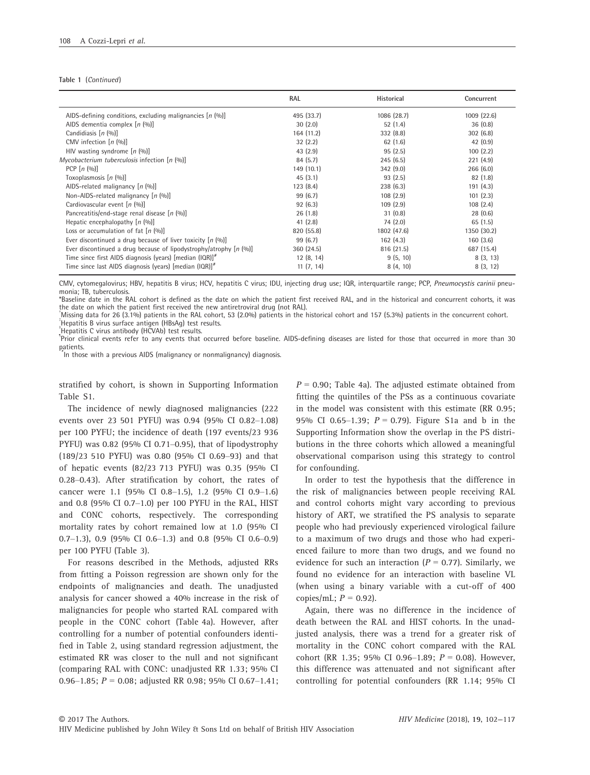#### Table 1 (Continued)

|                                                                     | RAL        | Historical  | Concurrent  |
|---------------------------------------------------------------------|------------|-------------|-------------|
| AIDS-defining conditions, excluding malignancies $[n (96)]$         | 495 (33.7) | 1086 (28.7) | 1009(22.6)  |
| AIDS dementia complex $[n (96)]$                                    | 30(2.0)    | 52(1.4)     | 36(0.8)     |
| Candidiasis $[n (96)]$                                              | 164 (11.2) | 332 (8.8)   | 302(6.8)    |
| CMV infection $[n (96)]$                                            | 32(2.2)    | 62(1.6)     | 42(0.9)     |
| HIV wasting syndrome $[n (96)]$                                     | 43(2.9)    | 95(2.5)     | 100(2.2)    |
| Mycobacterium tuberculosis infection $[n (96)]$                     | 84(5.7)    | 245(6.5)    | 221(4.9)    |
| PCP $[n (90)]$                                                      | 149(10.1)  | 342(9.0)    | 266(6.0)    |
| Toxoplasmosis $[n (96)]$                                            | 45(3.1)    | 93(2.5)     | 82(1.8)     |
| AIDS-related malignancy $[n (96)]$                                  | 123(8.4)   | 238(6.3)    | 191(4.3)    |
| Non-AIDS-related malignancy $[n (96)]$                              | 99(6.7)    | 108(2.9)    | 101(2.3)    |
| Cardiovascular event $[n (96)]$                                     | 92(6.3)    | 109(2.9)    | 108(2.4)    |
| Pancreatitis/end-stage renal disease [n (%)]                        | 26(1.8)    | 31(0.8)     | 28(0.6)     |
| Hepatic encephalopathy $[n (96)]$                                   | 41(2.8)    | 74 (2.0)    | 65(1.5)     |
| Loss or accumulation of fat $[n (96)]$                              | 820 (55.8) | 1802 (47.6) | 1350 (30.2) |
| Ever discontinued a drug because of liver toxicity $[n (96)]$       | 99 (6.7)   | 162(4.3)    | 160(3.6)    |
| Ever discontinued a drug because of lipodystrophy/atrophy $[n (%)]$ | 360(24.5)  | 816(21.5)   | 687 (15.4)  |
| Time since first AIDS diagnosis (years) [median (IQR)] <sup>#</sup> | 12(8, 14)  | 9(5, 10)    | 8(3, 13)    |
| Time since last AIDS diagnosis (years) [median (IQR)] <sup>#</sup>  | 11(7, 14)  | 8(4, 10)    | 8(3, 12)    |

CMV, cytomegalovirus; HBV, hepatitis B virus; HCV, hepatitis C virus; IDU, injecting drug use; IQR, interquartile range; PCP, Pneumocystis carinii pneumonia; TB, tuberculosis.

\*Baseline date in the RAL cohort is defined as the date on which the patient first received RAL, and in the historical and concurrent cohorts, it was the date on which the patient first received the new antiretroviral drug (not RAL). †

Missing data for 26 (3.1%) patients in the RAL cohort, 53 (2.0%) patients in the historical cohort and 157 (5.3%) patients in the concurrent cohort. ‡ Hepatitis B virus surface antigen (HBsAg) test results.

§ Hepatitis C virus antibody (HCVAb) test results.

Prior clinical events refer to any events that occurred before baseline. AIDS-defining diseases are listed for those that occurred in more than 30 patients. #

In those with a previous AIDS (malignancy or nonmalignancy) diagnosis.

stratified by cohort, is shown in Supporting Information Table S1.

The incidence of newly diagnosed malignancies (222 events over 23 501 PYFU) was 0.94 (95% CI 0.82–1.08) per 100 PYFU; the incidence of death (197 events/23 936 PYFU) was 0.82 (95% CI 0.71–0.95), that of lipodystrophy (189/23 510 PYFU) was 0.80 (95% CI 0.69–93) and that of hepatic events (82/23 713 PYFU) was 0.35 (95% CI 0.28–0.43). After stratification by cohort, the rates of cancer were 1.1 (95% CI 0.8–1.5), 1.2 (95% CI 0.9–1.6) and 0.8 (95% CI 0.7–1.0) per 100 PYFU in the RAL, HIST and CONC cohorts, respectively. The corresponding mortality rates by cohort remained low at 1.0 (95% CI 0.7–1.3), 0.9 (95% CI 0.6–1.3) and 0.8 (95% CI 0.6–0.9) per 100 PYFU (Table 3).

For reasons described in the Methods, adjusted RRs from fitting a Poisson regression are shown only for the endpoints of malignancies and death. The unadjusted analysis for cancer showed a 40% increase in the risk of malignancies for people who started RAL compared with people in the CONC cohort (Table 4a). However, after controlling for a number of potential confounders identified in Table 2, using standard regression adjustment, the estimated RR was closer to the null and not significant (comparing RAL with CONC: unadjusted RR 1.33; 95% CI 0.96–1.85;  $P = 0.08$ ; adjusted RR 0.98; 95% CI 0.67–1.41;

 $P = 0.90$ ; Table 4a). The adjusted estimate obtained from fitting the quintiles of the PSs as a continuous covariate in the model was consistent with this estimate (RR 0.95; 95% CI 0.65–1.39;  $P = 0.79$ ). Figure S1a and b in the Supporting Information show the overlap in the PS distributions in the three cohorts which allowed a meaningful observational comparison using this strategy to control for confounding.

In order to test the hypothesis that the difference in the risk of malignancies between people receiving RAL and control cohorts might vary according to previous history of ART, we stratified the PS analysis to separate people who had previously experienced virological failure to a maximum of two drugs and those who had experienced failure to more than two drugs, and we found no evidence for such an interaction  $(P = 0.77)$ . Similarly, we found no evidence for an interaction with baseline VL (when using a binary variable with a cut-off of 400 copies/mL;  $P = 0.92$ ).

Again, there was no difference in the incidence of death between the RAL and HIST cohorts. In the unadjusted analysis, there was a trend for a greater risk of mortality in the CONC cohort compared with the RAL cohort (RR 1.35; 95% CI 0.96-1.89;  $P = 0.08$ ). However, this difference was attenuated and not significant after controlling for potential confounders (RR 1.14; 95% CI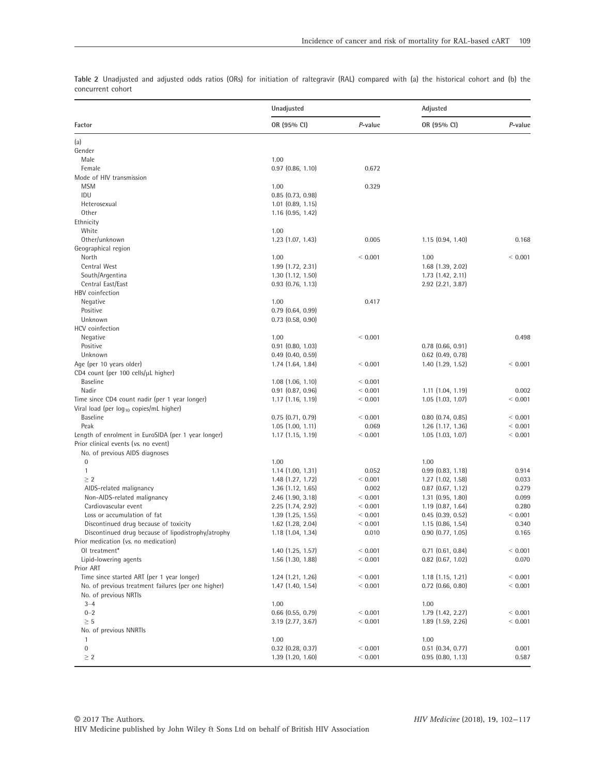Table 2 Unadjusted and adjusted odds ratios (ORs) for initiation of raltegravir (RAL) compared with (a) the historical cohort and (b) the concurrent cohort

|                                                                        | Unadjusted            |             | Adjusted              |             |
|------------------------------------------------------------------------|-----------------------|-------------|-----------------------|-------------|
| Factor                                                                 | OR (95% CI)           | P-value     | OR (95% CI)           | P-value     |
| (a)                                                                    |                       |             |                       |             |
| Gender                                                                 |                       |             |                       |             |
| Male                                                                   | 1.00                  |             |                       |             |
| Female                                                                 | $0.97$ $(0.86, 1.10)$ | 0.672       |                       |             |
| Mode of HIV transmission                                               |                       |             |                       |             |
| <b>MSM</b>                                                             | 1.00                  | 0.329       |                       |             |
| IDU                                                                    | $0.85$ $(0.73, 0.98)$ |             |                       |             |
| Heterosexual                                                           | $1.01$ $(0.89, 1.15)$ |             |                       |             |
| Other                                                                  | 1.16 (0.95, 1.42)     |             |                       |             |
| Ethnicity                                                              |                       |             |                       |             |
| White                                                                  | 1.00                  |             |                       |             |
| Other/unknown                                                          | $1.23$ $(1.07, 1.43)$ | 0.005       | 1.15(0.94, 1.40)      | 0.168       |
| Geographical region                                                    |                       |             |                       |             |
| North                                                                  | 1.00                  | ${}< 0.001$ | 1.00                  | ${}< 0.001$ |
| Central West                                                           | 1.99(1.72, 2.31)      |             | $1.68$ (1.39, 2.02)   |             |
| South/Argentina                                                        | $1.30$ $(1.12, 1.50)$ |             | 1.73 (1.42, 2.11)     |             |
| Central East/East                                                      | $0.93$ $(0.76, 1.13)$ |             | 2.92 (2.21, 3.87)     |             |
| HBV coinfection                                                        |                       |             |                       |             |
| Negative                                                               | 1.00                  | 0.417       |                       |             |
| Positive                                                               | $0.79$ $(0.64, 0.99)$ |             |                       |             |
| Unknown                                                                | $0.73$ $(0.58, 0.90)$ |             |                       |             |
| HCV coinfection                                                        |                       |             |                       |             |
| Negative                                                               | 1.00                  | ${}< 0.001$ |                       | 0.498       |
| Positive                                                               | $0.91$ $(0.80, 1.03)$ |             | $0.78$ $(0.66, 0.91)$ |             |
| Unknown                                                                | $0.49$ $(0.40, 0.59)$ |             | $0.62$ $(0.49, 0.78)$ |             |
| Age (per 10 years older)                                               | $1.74$ (1.64, 1.84)   | ${}< 0.001$ | 1.40 (1.29, 1.52)     | ${}< 0.001$ |
| CD4 count (per 100 cells/µL higher)                                    |                       |             |                       |             |
| Baseline                                                               | $1.08$ $(1.06, 1.10)$ | ${}< 0.001$ |                       |             |
| Nadir                                                                  | $0.91$ $(0.87, 0.96)$ | ${}< 0.001$ | $1.11$ $(1.04, 1.19)$ | 0.002       |
| Time since CD4 count nadir (per 1 year longer)                         |                       | ${}< 0.001$ | 1.05 (1.03, 1.07)     | ${}< 0.001$ |
|                                                                        | $1.17$ $(1.16, 1.19)$ |             |                       |             |
| Viral load (per log <sub>10</sub> copies/mL higher)<br>Baseline        | $0.75$ $(0.71, 0.79)$ |             | $0.80$ $(0.74, 0.85)$ | ${}< 0.001$ |
| Peak                                                                   |                       | ${}< 0.001$ |                       | < 0.001     |
| Length of enrolment in EuroSIDA (per 1 year longer)                    | 1.05(1.00, 1.11)      | 0.069       | $1.26$ $(1.17, 1.36)$ |             |
| Prior clinical events (vs. no event)<br>No. of previous AIDS diagnoses | $1.17$ $(1.15, 1.19)$ | ${}< 0.001$ | 1.05(1.03, 1.07)      | ${}< 0.001$ |
| $\bf{0}$                                                               | 1.00                  |             | 1.00                  |             |
| $\mathbf{1}$                                                           | $1.14$ $(1.00, 1.31)$ | 0.052       | $0.99$ $(0.83, 1.18)$ | 0.914       |
| $\geq 2$                                                               | 1.48 (1.27, 1.72)     | ${}< 0.001$ | $1.27$ $(1.02, 1.58)$ | 0.033       |
| AIDS-related malignancy                                                | $1.36$ (1.12, 1.65)   | 0.002       | $0.87$ $(0.67, 1.12)$ | 0.279       |
| Non-AIDS-related malignancy                                            | 2.46 (1.90, 3.18)     | ${}< 0.001$ | $1.31$ $(0.95, 1.80)$ | 0.099       |
| Cardiovascular event                                                   | 2.25(1.74, 2.92)      | ${}< 0.001$ | $1.19$ $(0.87, 1.64)$ | 0.280       |
| Loss or accumulation of fat                                            | $1.39$ (1.25, 1.55)   | ${}< 0.001$ | $0.45$ $(0.39, 0.52)$ | ${}< 0.001$ |
| Discontinued drug because of toxicity                                  | $1.62$ (1.28, 2.04)   | ${}< 0.001$ | $1.15$ (0.86, 1.54)   | 0.340       |
| Discontinued drug because of lipodistrophy/atrophy                     | $1.18$ (1.04, 1.34)   | 0.010       | $0.90$ $(0.77, 1.05)$ | 0.165       |
| Prior medication (vs. no medication)                                   |                       |             |                       |             |
| OI treatment*                                                          | 1.40 (1.25, 1.57)     | < 0.001     | $0.71$ $(0.61, 0.84)$ | < 0.001     |
| Lipid-lowering agents                                                  | 1.56 (1.30, 1.88)     | ${}< 0.001$ | $0.82$ $(0.67, 1.02)$ | 0.070       |
| Prior ART                                                              |                       |             |                       |             |
| Time since started ART (per 1 year longer)                             | $1.24$ $(1.21, 1.26)$ | < 0.001     | 1.18(1.15, 1.21)      | ${}< 0.001$ |
| No. of previous treatment failures (per one higher)                    | 1.47 (1.40, 1.54)     | ${}< 0.001$ | $0.72$ $(0.66, 0.80)$ | ${}< 0.001$ |
| No. of previous NRTIs                                                  |                       |             |                       |             |
| $3 - 4$                                                                | 1.00                  |             | 1.00                  |             |
| $0 - 2$                                                                | $0.66$ $(0.55, 0.79)$ | ${}< 0.001$ | 1.79 (1.42, 2.27)     | ${}< 0.001$ |
| $\geq 5$                                                               | 3.19 (2.77, 3.67)     | ${}< 0.001$ | $1.89$ (1.59, 2.26)   | ${}< 0.001$ |
| No. of previous NNRTIs                                                 |                       |             |                       |             |
| 1                                                                      | 1.00                  |             | 1.00                  |             |
| $\boldsymbol{0}$                                                       | $0.32$ $(0.28, 0.37)$ | ${}< 0.001$ | $0.51$ $(0.34, 0.77)$ | 0.001       |
| $\geq 2$                                                               | 1.39(1.20, 1.60)      | < 0.001     | $0.95$ $(0.80, 1.13)$ | 0.587       |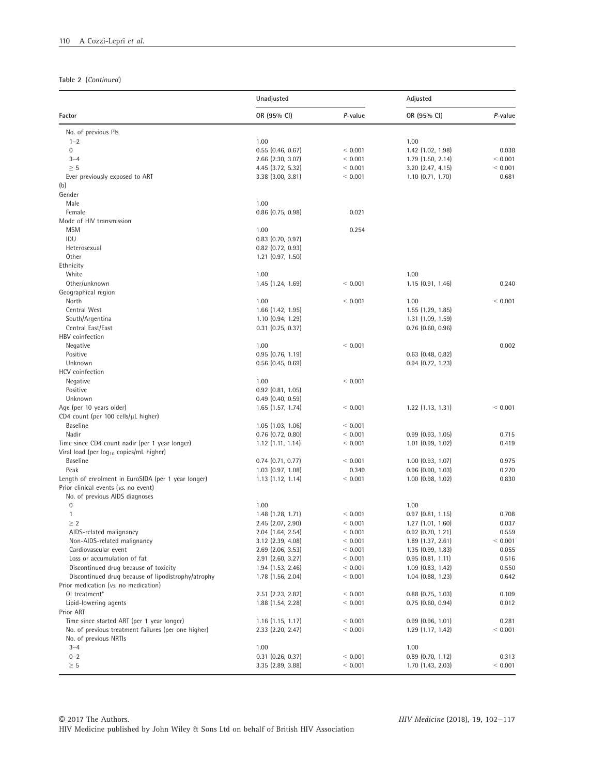## Table 2 (Continued)

|                                                     | Unadjusted                                 |                        | Adjusted              |                  |
|-----------------------------------------------------|--------------------------------------------|------------------------|-----------------------|------------------|
| Factor                                              | OR (95% CI)                                | P-value                | OR (95% CI)           | P-value          |
| No. of previous Pls                                 |                                            |                        |                       |                  |
| $1 - 2$                                             | 1.00                                       |                        | 1.00                  |                  |
| $\overline{0}$                                      | $0.55$ $(0.46, 0.67)$                      | ${}< 0.001$            | 1.42 (1.02, 1.98)     | 0.038            |
| $3 - 4$                                             | 2.66 (2.30, 3.07)                          | ${}< 0.001$            | 1.79 (1.50, 2.14)     | ${}< 0.001$      |
| $\geq 5$                                            | 4.45 (3.72, 5.32)                          | ${}< 0.001$            | $3.20$ $(2.47, 4.15)$ | ${}< 0.001$      |
| Ever previously exposed to ART                      | $3.38$ $(3.00, 3.81)$                      | ${}< 0.001$            | $1.10$ $(0.71, 1.70)$ | 0.681            |
| (b)<br>Gender                                       |                                            |                        |                       |                  |
| Male                                                | 1.00                                       |                        |                       |                  |
| Female                                              | $0.86$ $(0.75, 0.98)$                      | 0.021                  |                       |                  |
| Mode of HIV transmission                            |                                            |                        |                       |                  |
| <b>MSM</b>                                          | 1.00                                       | 0.254                  |                       |                  |
| IDU                                                 | $0.83$ $(0.70, 0.97)$                      |                        |                       |                  |
| Heterosexual                                        | $0.82$ $(0.72, 0.93)$                      |                        |                       |                  |
| Other                                               | $1.21$ $(0.97, 1.50)$                      |                        |                       |                  |
| Ethnicity                                           |                                            |                        |                       |                  |
| White                                               | 1.00                                       |                        | 1.00                  |                  |
| Other/unknown                                       | 1.45(1.24, 1.69)                           | ${}< 0.001$            | 1.15(0.91, 1.46)      | 0.240            |
| Geographical region                                 |                                            |                        |                       |                  |
| North                                               | 1.00                                       | ${}< 0.001$            | 1.00                  | ${}< 0.001$      |
| Central West                                        | 1.66 (1.42, 1.95)                          |                        | 1.55(1.29, 1.85)      |                  |
| South/Argentina                                     | $1.10$ $(0.94, 1.29)$                      |                        | 1.31(1.09, 1.59)      |                  |
| Central East/East                                   |                                            |                        | $0.76$ $(0.60, 0.96)$ |                  |
| HBV coinfection                                     | $0.31$ $(0.25, 0.37)$                      |                        |                       |                  |
|                                                     |                                            |                        |                       |                  |
| Negative                                            | 1.00                                       | ${}< 0.001$            |                       | 0.002            |
| Positive                                            | $0.95$ $(0.76, 1.19)$                      |                        | $0.63$ $(0.48, 0.82)$ |                  |
| Unknown                                             | $0.56$ $(0.45, 0.69)$                      |                        | $0.94$ $(0.72, 1.23)$ |                  |
| HCV coinfection                                     |                                            |                        |                       |                  |
| Negative                                            | 1.00                                       | ${}< 0.001$            |                       |                  |
| Positive                                            | $0.92$ $(0.81, 1.05)$                      |                        |                       |                  |
| Unknown                                             | $0.49$ $(0.40, 0.59)$                      |                        |                       |                  |
| Age (per 10 years older)                            | $1.65$ (1.57, 1.74)                        | ${}< 0.001$            | $1.22$ $(1.13, 1.31)$ | < 0.001          |
| CD4 count (per 100 cells/µL higher)                 |                                            |                        |                       |                  |
| Baseline                                            | $1.05$ $(1.03, 1.06)$                      | ${}< 0.001$            |                       |                  |
| Nadir                                               | $0.76$ $(0.72, 0.80)$                      | ${}< 0.001$            | $0.99$ $(0.93, 1.05)$ | 0.715            |
| Time since CD4 count nadir (per 1 year longer)      | $1.12$ $(1.11, 1.14)$                      | ${}< 0.001$            | $1.01$ $(0.99, 1.02)$ | 0.419            |
| Viral load (per $log_{10}$ copies/mL higher)        |                                            |                        |                       |                  |
| <b>Baseline</b>                                     | $0.74$ $(0.71, 0.77)$                      | ${}< 0.001$            | $1.00$ $(0.93, 1.07)$ | 0.975            |
| Peak                                                | $1.03$ $(0.97, 1.08)$                      | 0.349                  | $0.96$ $(0.90, 1.03)$ | 0.270            |
| Length of enrolment in EuroSIDA (per 1 year longer) | 1.13(1.12, 1.14)                           | ${}< 0.001$            | $1.00$ $(0.98, 1.02)$ | 0.830            |
| Prior clinical events (vs. no event)                |                                            |                        |                       |                  |
| No. of previous AIDS diagnoses                      |                                            |                        |                       |                  |
| $\mathbf 0$                                         | 1.00                                       |                        | 1.00                  |                  |
| $\mathbf{1}$                                        | $1.48$ $(1.28, 1.71)$                      | ${}< 0.001$            | $0.97$ $(0.81, 1.15)$ | 0.708            |
| $\geq 2$                                            | 2.45 (2.07, 2.90)                          | ${}< 0.001$            | $1.27$ $(1.01, 1.60)$ | 0.037            |
| AIDS-related malignancy                             | 2.04 (1.64, 2.54)                          | < 0.001                | 0.92 (0.70, 1.21)     | 0.559            |
| Non-AIDS-related malignancy                         | $3.12$ (2.39, 4.08)                        | ${}< 0.001$            | 1.89(1.37, 2.61)      | < 0.001          |
| Cardiovascular event                                | 2.69 (2.06, 3.53)                          | ${}< 0.001$            | 1.35 (0.99, 1.83)     | 0.055            |
| Loss or accumulation of fat                         | 2.91 (2.60, 3.27)                          | ${}< 0.001$            | $0.95$ $(0.81, 1.11)$ | 0.516            |
| Discontinued drug because of toxicity               | $1.94$ (1.53, 2.46)                        | ${}< 0.001$            | $1.09$ $(0.83, 1.42)$ | 0.550            |
| Discontinued drug because of lipodistrophy/atrophy  | $1.78$ (1.56, 2.04)                        | ${}< 0.001$            | $1.04$ $(0.88, 1.23)$ | 0.642            |
| Prior medication (vs. no medication)                |                                            |                        |                       |                  |
| OI treatment*                                       | 2.51 (2.23, 2.82)                          | ${}< 0.001$            | $0.88$ $(0.75, 1.03)$ | 0.109            |
| Lipid-lowering agents                               | $1.88$ (1.54, 2.28)                        | ${}< 0.001$            | $0.75$ $(0.60, 0.94)$ | 0.012            |
| Prior ART                                           |                                            |                        |                       |                  |
| Time since started ART (per 1 year longer)          | $1.16$ (1.15, 1.17)                        | ${}< 0.001$            | $0.99$ $(0.96, 1.01)$ | 0.281            |
| No. of previous treatment failures (per one higher) | $2.33$ $(2.20, 2.47)$                      | < 0.001                | $1.29$ $(1.17, 1.42)$ | ${}< 0.001$      |
| No. of previous NRTIs                               |                                            |                        |                       |                  |
| $3 - 4$                                             |                                            |                        | 1.00                  |                  |
|                                                     | 1.00                                       |                        | $0.89$ $(0.70, 1.12)$ |                  |
| $0 - 2$                                             | $0.31$ $(0.26, 0.37)$<br>3.35 (2.89, 3.88) | ${}< 0.001$<br>< 0.001 | 1.70 (1.43, 2.03)     | 0.313<br>< 0.001 |
| $\geq 5$                                            |                                            |                        |                       |                  |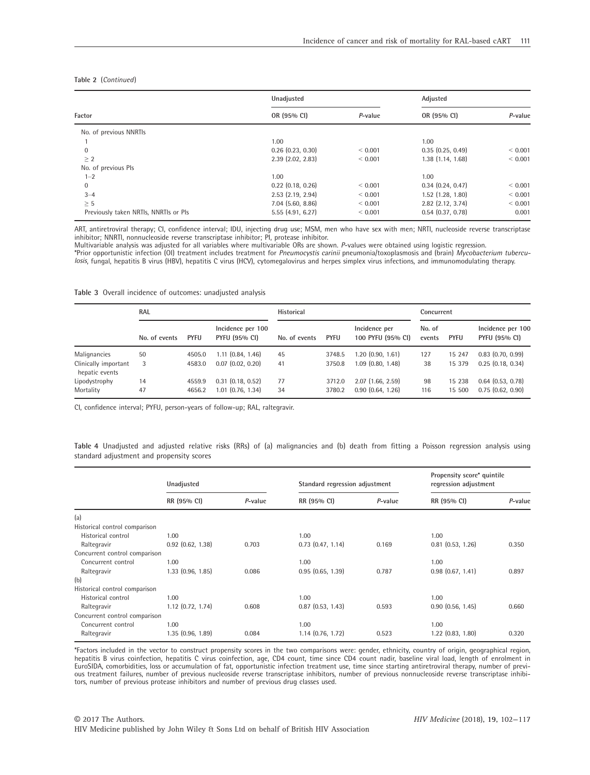|                                       | Unadjusted            | Adjusted    |                       |             |
|---------------------------------------|-----------------------|-------------|-----------------------|-------------|
| Factor                                | OR (95% CI)           | P-value     | OR (95% CI)           | P-value     |
| No. of previous NNRTIs                |                       |             |                       |             |
|                                       | 1.00                  |             | 1.00                  |             |
| $\mathbf{0}$                          | $0.26$ $(0.23, 0.30)$ | ${}< 0.001$ | 0.35(0.25, 0.49)      | ${}< 0.001$ |
| $\geq 2$                              | $2.39$ $(2.02, 2.83)$ | ${}< 0.001$ | 1.38 (1.14, 1.68)     | ${}< 0.001$ |
| No. of previous Pls                   |                       |             |                       |             |
| $1 - 2$                               | 1.00                  |             | 1.00                  |             |
| $\mathbf 0$                           | $0.22$ $(0.18, 0.26)$ | ${}< 0.001$ | 0.34(0.24, 0.47)      | ${}< 0.001$ |
| $3 - 4$                               | $2.53$ $(2.19, 2.94)$ | ${}< 0.001$ | 1.52 (1.28, 1.80)     | ${}< 0.001$ |
| $\geq 5$                              | $7.04$ (5.60, 8.86)   | ${}< 0.001$ | $2.82$ (2.12, 3.74)   | ${}< 0.001$ |
| Previously taken NRTIs, NNRTIs or PIs | 5.55 (4.91, 6.27)     | ${}< 0.001$ | $0.54$ $(0.37, 0.78)$ | 0.001       |

#### Table 2 (Continued)

ART, antiretroviral therapy; CI, confidence interval; IDU, injecting drug use; MSM, men who have sex with men; NRTI, nucleoside reverse transcriptase inhibitor; NNRTI, nonnucleoside reverse transcriptase inhibitor; PI, protease inhibitor.

Multivariable analysis was adjusted for all variables where multivariable ORs are shown. <sup>P</sup>-values were obtained using logistic regression.

\*Prior opportunistic infection (OI) treatment includes treatment for Pneumocystis carinii pneumonia/toxoplasmosis and (brain) Mycobacterium tuberculosis, fungal, hepatitis B virus (HBV), hepatitis C virus (HCV), cytomegalovirus and herpes simplex virus infections, and immunomodulating therapy.

Table 3 Overall incidence of outcomes: unadjusted analysis

|                                        | <b>RAL</b>    |             |                                           | <b>Historical</b> |             |                                    | Concurrent       |             |                                    |
|----------------------------------------|---------------|-------------|-------------------------------------------|-------------------|-------------|------------------------------------|------------------|-------------|------------------------------------|
|                                        | No. of events | <b>PYFU</b> | Incidence per 100<br><b>PYFU (95% CI)</b> | No. of events     | <b>PYFU</b> | Incidence per<br>100 PYFU (95% CI) | No. of<br>events | <b>PYFU</b> | Incidence per 100<br>PYFU (95% CI) |
| Malignancies                           | 50            | 4505.0      | $1.11$ $(0.84, 1.46)$                     | 45                | 3748.5      | $1.20$ $(0.90, 1.61)$              | 127              | 15 247      | $0.83$ $(0.70, 0.99)$              |
| Clinically important<br>hepatic events | 3             | 4583.0      | $0.07$ $(0.02, 0.20)$                     | 41                | 3750.8      | $1.09$ $(0.80, 1.48)$              | 38               | 15 379      | $0.25$ $(0.18, 0.34)$              |
| Lipodystrophy                          | 14            | 4559.9      | $0.31$ $(0.18, 0.52)$                     | 77                | 3712.0      | $2.07$ (1.66, 2.59)                | 98               | 15 238      | $0.64$ $(0.53, 0.78)$              |
| Mortality                              | 47            | 4656.2      | $1.01$ $(0.76, 1.34)$                     | 34                | 3780.2      | $0.90$ $(0.64, 1.26)$              | 116              | 15 500      | $0.75$ $(0.62, 0.90)$              |

CI, confidence interval; PYFU, person-years of follow-up; RAL, raltegravir.

Table 4 Unadjusted and adjusted relative risks (RRs) of (a) malignancies and (b) death from fitting a Poisson regression analysis using standard adjustment and propensity scores

|                               | Unadjusted            |         | Standard regression adjustment |         | Propensity score* quintile<br>regression adjustment |         |
|-------------------------------|-----------------------|---------|--------------------------------|---------|-----------------------------------------------------|---------|
|                               | RR (95% CI)           | P-value | RR (95% CI)                    | P-value | RR (95% CI)                                         | P-value |
| (a)                           |                       |         |                                |         |                                                     |         |
| Historical control comparison |                       |         |                                |         |                                                     |         |
| Historical control            | 1.00                  |         | 1.00                           |         | 1.00                                                |         |
| Raltegravir                   | $0.92$ $(0.62, 1.38)$ | 0.703   | $0.73$ $(0.47, 1.14)$          | 0.169   | $0.81$ $(0.53, 1.26)$                               | 0.350   |
| Concurrent control comparison |                       |         |                                |         |                                                     |         |
| Concurrent control            | 1.00                  |         | 1.00                           |         | 1.00                                                |         |
| Raltegravir                   | 1.33 (0.96, 1.85)     | 0.086   | $0.95$ $(0.65, 1.39)$          | 0.787   | $0.98$ $(0.67, 1.41)$                               | 0.897   |
| (b)                           |                       |         |                                |         |                                                     |         |
| Historical control comparison |                       |         |                                |         |                                                     |         |
| Historical control            | 1.00                  |         | 1.00                           |         | 1.00                                                |         |
| Raltegravir                   | $1.12$ $(0.72, 1.74)$ | 0.608   | $0.87$ $(0.53, 1.43)$          | 0.593   | $0.90$ $(0.56, 1.45)$                               | 0.660   |
| Concurrent control comparison |                       |         |                                |         |                                                     |         |
| Concurrent control            | 1.00                  |         | 1.00                           |         | 1.00                                                |         |
| Raltegravir                   | 1.35 (0.96, 1.89)     | 0.084   | $1.14$ (0.76, 1.72)            | 0.523   | $1.22$ $(0.83, 1.80)$                               | 0.320   |

\*Factors included in the vector to construct propensity scores in the two comparisons were: gender, ethnicity, country of origin, geographical region, hepatitis B virus coinfection, hepatitis C virus coinfection, age, CD4 count, time since CD4 count nadir, baseline viral load, length of enrolment in EuroSIDA, comorbidities, loss or accumulation of fat, opportunistic infection treatment use, time since starting antiretroviral therapy, number of previous treatment failures, number of previous nucleoside reverse transcriptase inhibitors, number of previous nonnucleoside reverse transcriptase inhibitors, number of previous protease inhibitors and number of previous drug classes used.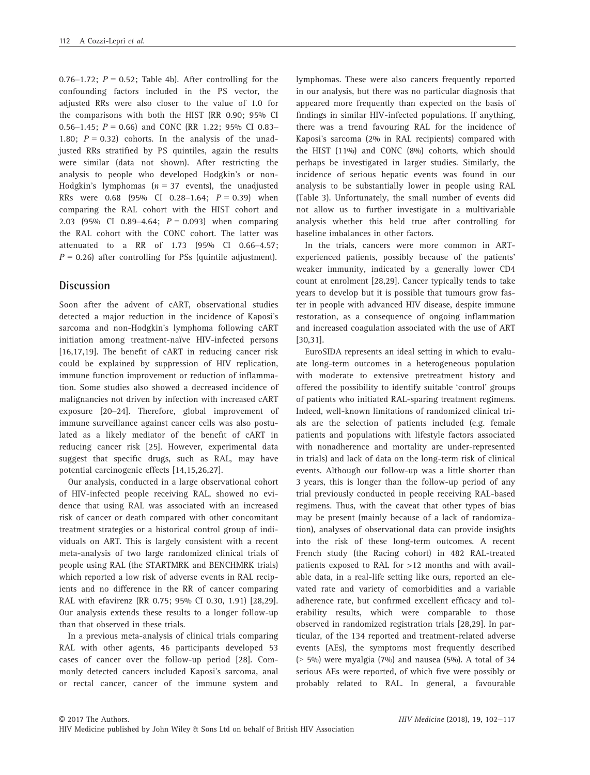0.76–1.72;  $P = 0.52$ ; Table 4b). After controlling for the confounding factors included in the PS vector, the adjusted RRs were also closer to the value of 1.0 for the comparisons with both the HIST (RR 0.90; 95% CI 0.56–1.45;  $P = 0.66$ ) and CONC (RR 1.22; 95% CI 0.83– 1.80;  $P = 0.32$ ) cohorts. In the analysis of the unadjusted RRs stratified by PS quintiles, again the results were similar (data not shown). After restricting the analysis to people who developed Hodgkin's or non-Hodgkin's lymphomas ( $n = 37$  events), the unadjusted RRs were 0.68 (95% CI 0.28-1.64;  $P = 0.39$ ) when comparing the RAL cohort with the HIST cohort and 2.03 (95% CI 0.89–4.64;  $P = 0.093$ ) when comparing the RAL cohort with the CONC cohort. The latter was attenuated to a RR of 1.73 (95% CI 0.66–4.57;  $P = 0.26$ ) after controlling for PSs (quintile adjustment).

# **Discussion**

Soon after the advent of cART, observational studies detected a major reduction in the incidence of Kaposi's sarcoma and non-Hodgkin's lymphoma following cART initiation among treatment-naïve HIV-infected persons [16,17,19]. The benefit of cART in reducing cancer risk could be explained by suppression of HIV replication, immune function improvement or reduction of inflammation. Some studies also showed a decreased incidence of malignancies not driven by infection with increased cART exposure [20–24]. Therefore, global improvement of immune surveillance against cancer cells was also postulated as a likely mediator of the benefit of cART in reducing cancer risk [25]. However, experimental data suggest that specific drugs, such as RAL, may have potential carcinogenic effects [14,15,26,27].

Our analysis, conducted in a large observational cohort of HIV-infected people receiving RAL, showed no evidence that using RAL was associated with an increased risk of cancer or death compared with other concomitant treatment strategies or a historical control group of individuals on ART. This is largely consistent with a recent meta-analysis of two large randomized clinical trials of people using RAL (the STARTMRK and BENCHMRK trials) which reported a low risk of adverse events in RAL recipients and no difference in the RR of cancer comparing RAL with efavirenz (RR 0.75; 95% CI 0.30, 1.91) [28,29]. Our analysis extends these results to a longer follow-up than that observed in these trials.

In a previous meta-analysis of clinical trials comparing RAL with other agents, 46 participants developed 53 cases of cancer over the follow-up period [28]. Commonly detected cancers included Kaposi's sarcoma, anal or rectal cancer, cancer of the immune system and lymphomas. These were also cancers frequently reported in our analysis, but there was no particular diagnosis that appeared more frequently than expected on the basis of findings in similar HIV-infected populations. If anything, there was a trend favouring RAL for the incidence of Kaposi's sarcoma (2% in RAL recipients) compared with the HIST (11%) and CONC (8%) cohorts, which should perhaps be investigated in larger studies. Similarly, the incidence of serious hepatic events was found in our analysis to be substantially lower in people using RAL (Table 3). Unfortunately, the small number of events did not allow us to further investigate in a multivariable analysis whether this held true after controlling for baseline imbalances in other factors.

In the trials, cancers were more common in ARTexperienced patients, possibly because of the patients' weaker immunity, indicated by a generally lower CD4 count at enrolment [28,29]. Cancer typically tends to take years to develop but it is possible that tumours grow faster in people with advanced HIV disease, despite immune restoration, as a consequence of ongoing inflammation and increased coagulation associated with the use of ART [30,31].

EuroSIDA represents an ideal setting in which to evaluate long-term outcomes in a heterogeneous population with moderate to extensive pretreatment history and offered the possibility to identify suitable 'control' groups of patients who initiated RAL-sparing treatment regimens. Indeed, well-known limitations of randomized clinical trials are the selection of patients included (e.g. female patients and populations with lifestyle factors associated with nonadherence and mortality are under-represented in trials) and lack of data on the long-term risk of clinical events. Although our follow-up was a little shorter than 3 years, this is longer than the follow-up period of any trial previously conducted in people receiving RAL-based regimens. Thus, with the caveat that other types of bias may be present (mainly because of a lack of randomization), analyses of observational data can provide insights into the risk of these long-term outcomes. A recent French study (the Racing cohort) in 482 RAL-treated patients exposed to RAL for >12 months and with available data, in a real-life setting like ours, reported an elevated rate and variety of comorbidities and a variable adherence rate, but confirmed excellent efficacy and tolerability results, which were comparable to those observed in randomized registration trials [28,29]. In particular, of the 134 reported and treatment-related adverse events (AEs), the symptoms most frequently described  $($  > 5%) were myalgia (7%) and nausea (5%). A total of 34 serious AEs were reported, of which five were possibly or probably related to RAL. In general, a favourable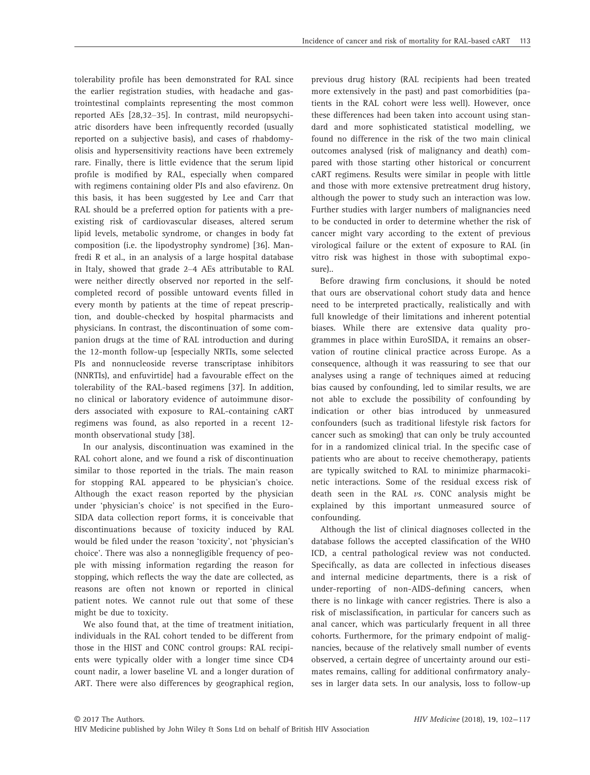tolerability profile has been demonstrated for RAL since the earlier registration studies, with headache and gastrointestinal complaints representing the most common reported AEs [28,32–35]. In contrast, mild neuropsychiatric disorders have been infrequently recorded (usually reported on a subjective basis), and cases of rhabdomyolisis and hypersensitivity reactions have been extremely rare. Finally, there is little evidence that the serum lipid profile is modified by RAL, especially when compared with regimens containing older PIs and also efavirenz. On this basis, it has been suggested by Lee and Carr that RAL should be a preferred option for patients with a preexisting risk of cardiovascular diseases, altered serum lipid levels, metabolic syndrome, or changes in body fat composition (i.e. the lipodystrophy syndrome) [36]. Manfredi R et al., in an analysis of a large hospital database in Italy, showed that grade 2–4 AEs attributable to RAL were neither directly observed nor reported in the selfcompleted record of possible untoward events filled in every month by patients at the time of repeat prescription, and double-checked by hospital pharmacists and physicians. In contrast, the discontinuation of some companion drugs at the time of RAL introduction and during the 12-month follow-up [especially NRTIs, some selected PIs and nonnucleoside reverse transcriptase inhibitors (NNRTIs), and enfuvirtide] had a favourable effect on the tolerability of the RAL-based regimens [37]. In addition, no clinical or laboratory evidence of autoimmune disorders associated with exposure to RAL-containing cART regimens was found, as also reported in a recent 12 month observational study [38].

In our analysis, discontinuation was examined in the RAL cohort alone, and we found a risk of discontinuation similar to those reported in the trials. The main reason for stopping RAL appeared to be physician's choice. Although the exact reason reported by the physician under 'physician's choice' is not specified in the Euro-SIDA data collection report forms, it is conceivable that discontinuations because of toxicity induced by RAL would be filed under the reason 'toxicity', not 'physician's choice'. There was also a nonnegligible frequency of people with missing information regarding the reason for stopping, which reflects the way the date are collected, as reasons are often not known or reported in clinical patient notes. We cannot rule out that some of these might be due to toxicity.

We also found that, at the time of treatment initiation, individuals in the RAL cohort tended to be different from those in the HIST and CONC control groups: RAL recipients were typically older with a longer time since CD4 count nadir, a lower baseline VL and a longer duration of ART. There were also differences by geographical region, previous drug history (RAL recipients had been treated more extensively in the past) and past comorbidities (patients in the RAL cohort were less well). However, once these differences had been taken into account using standard and more sophisticated statistical modelling, we found no difference in the risk of the two main clinical outcomes analysed (risk of malignancy and death) compared with those starting other historical or concurrent cART regimens. Results were similar in people with little and those with more extensive pretreatment drug history, although the power to study such an interaction was low. Further studies with larger numbers of malignancies need to be conducted in order to determine whether the risk of cancer might vary according to the extent of previous virological failure or the extent of exposure to RAL (in vitro risk was highest in those with suboptimal exposure)..

Before drawing firm conclusions, it should be noted that ours are observational cohort study data and hence need to be interpreted practically, realistically and with full knowledge of their limitations and inherent potential biases. While there are extensive data quality programmes in place within EuroSIDA, it remains an observation of routine clinical practice across Europe. As a consequence, although it was reassuring to see that our analyses using a range of techniques aimed at reducing bias caused by confounding, led to similar results, we are not able to exclude the possibility of confounding by indication or other bias introduced by unmeasured confounders (such as traditional lifestyle risk factors for cancer such as smoking) that can only be truly accounted for in a randomized clinical trial. In the specific case of patients who are about to receive chemotherapy, patients are typically switched to RAL to minimize pharmacokinetic interactions. Some of the residual excess risk of death seen in the RAL  $vs.$  CONC analysis might be explained by this important unmeasured source of confounding.

Although the list of clinical diagnoses collected in the database follows the accepted classification of the WHO ICD, a central pathological review was not conducted. Specifically, as data are collected in infectious diseases and internal medicine departments, there is a risk of under-reporting of non-AIDS-defining cancers, when there is no linkage with cancer registries. There is also a risk of misclassification, in particular for cancers such as anal cancer, which was particularly frequent in all three cohorts. Furthermore, for the primary endpoint of malignancies, because of the relatively small number of events observed, a certain degree of uncertainty around our estimates remains, calling for additional confirmatory analyses in larger data sets. In our analysis, loss to follow-up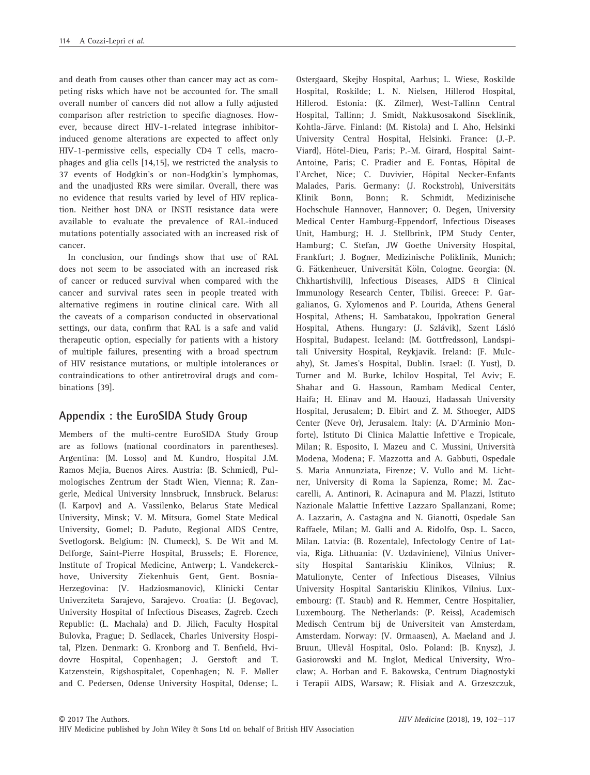and death from causes other than cancer may act as competing risks which have not be accounted for. The small overall number of cancers did not allow a fully adjusted comparison after restriction to specific diagnoses. However, because direct HIV-1-related integrase inhibitorinduced genome alterations are expected to affect only HIV-1-permissive cells, especially CD4 T cells, macrophages and glia cells [14,15], we restricted the analysis to 37 events of Hodgkin's or non-Hodgkin's lymphomas, and the unadjusted RRs were similar. Overall, there was no evidence that results varied by level of HIV replication. Neither host DNA or INSTI resistance data were available to evaluate the prevalence of RAL-induced mutations potentially associated with an increased risk of cancer.

In conclusion, our findings show that use of RAL does not seem to be associated with an increased risk of cancer or reduced survival when compared with the cancer and survival rates seen in people treated with alternative regimens in routine clinical care. With all the caveats of a comparison conducted in observational settings, our data, confirm that RAL is a safe and valid therapeutic option, especially for patients with a history of multiple failures, presenting with a broad spectrum of HIV resistance mutations, or multiple intolerances or contraindications to other antiretroviral drugs and combinations [39].

# Appendix : the EuroSIDA Study Group

Members of the multi-centre EuroSIDA Study Group are as follows (national coordinators in parentheses). Argentina: (M. Losso) and M. Kundro, Hospital J.M. Ramos Mejia, Buenos Aires. Austria: (B. Schmied), Pulmologisches Zentrum der Stadt Wien, Vienna; R. Zangerle, Medical University Innsbruck, Innsbruck. Belarus: (I. Karpov) and A. Vassilenko, Belarus State Medical University, Minsk; V. M. Mitsura, Gomel State Medical University, Gomel; D. Paduto, Regional AIDS Centre, Svetlogorsk. Belgium: (N. Clumeck), S. De Wit and M. Delforge, Saint-Pierre Hospital, Brussels; E. Florence, Institute of Tropical Medicine, Antwerp; L. Vandekerckhove, University Ziekenhuis Gent, Gent. Bosnia-Herzegovina: (V. Hadziosmanovic), Klinicki Centar Univerziteta Sarajevo, Sarajevo. Croatia: (J. Begovac), University Hospital of Infectious Diseases, Zagreb. Czech Republic: (L. Machala) and D. Jilich, Faculty Hospital Bulovka, Prague; D. Sedlacek, Charles University Hospital, Plzen. Denmark: G. Kronborg and T. Benfield, Hvidovre Hospital, Copenhagen; J. Gerstoft and T. Katzenstein, Rigshospitalet, Copenhagen; N. F. Møller and C. Pedersen, Odense University Hospital, Odense; L.

Ostergaard, Skejby Hospital, Aarhus; L. Wiese, Roskilde Hospital, Roskilde; L. N. Nielsen, Hillerod Hospital, Hillerod. Estonia: (K. Zilmer), West-Tallinn Central Hospital, Tallinn; J. Smidt, Nakkusosakond Siseklinik, Kohtla-Järve. Finland: (M. Ristola) and I. Aho, Helsinki University Central Hospital, Helsinki. France: (J.-P. Viard), Hôtel-Dieu, Paris; P.-M. Girard, Hospital Saint-Antoine, Paris; C. Pradier and E. Fontas, Hôpital de l'Archet, Nice; C. Duvivier, Hôpital Necker-Enfants Malades, Paris. Germany: (J. Rockstroh), Universitäts Klinik Bonn, Bonn; R. Schmidt, Medizinische Hochschule Hannover, Hannover; O. Degen, University Medical Center Hamburg-Eppendorf, Infectious Diseases Unit, Hamburg; H. J. Stellbrink, IPM Study Center, Hamburg; C. Stefan, JW Goethe University Hospital, Frankfurt; J. Bogner, Medizinische Poliklinik, Munich; G. Fätkenheuer, Universität Köln, Cologne. Georgia: (N. Chkhartishvili), Infectious Diseases, AIDS & Clinical Immunology Research Center, Tbilisi. Greece: P. Gargalianos, G. Xylomenos and P. Lourida, Athens General Hospital, Athens; H. Sambatakou, Ippokration General Hospital, Athens. Hungary: (J. Szlávik), Szent Lásló Hospital, Budapest. Iceland: (M. Gottfredsson), Landspitali University Hospital, Reykjavik. Ireland: (F. Mulcahy), St. James's Hospital, Dublin. Israel: (I. Yust), D. Turner and M. Burke, Ichilov Hospital, Tel Aviv; E. Shahar and G. Hassoun, Rambam Medical Center, Haifa; H. Elinav and M. Haouzi, Hadassah University Hospital, Jerusalem; D. Elbirt and Z. M. Sthoeger, AIDS Center (Neve Or), Jerusalem. Italy: (A. D'Arminio Monforte), Istituto Di Clinica Malattie Infettive e Tropicale, Milan; R. Esposito, I. Mazeu and C. Mussini, Universita Modena, Modena; F. Mazzotta and A. Gabbuti, Ospedale S. Maria Annunziata, Firenze; V. Vullo and M. Lichtner, University di Roma la Sapienza, Rome; M. Zaccarelli, A. Antinori, R. Acinapura and M. Plazzi, Istituto Nazionale Malattie Infettive Lazzaro Spallanzani, Rome; A. Lazzarin, A. Castagna and N. Gianotti, Ospedale San Raffaele, Milan; M. Galli and A. Ridolfo, Osp. L. Sacco, Milan. Latvia: (B. Rozentale), Infectology Centre of Latvia, Riga. Lithuania: (V. Uzdaviniene), Vilnius University Hospital Santariskiu Klinikos, Vilnius; R. Matulionyte, Center of Infectious Diseases, Vilnius University Hospital Santariskiu Klinikos, Vilnius. Luxembourg: (T. Staub) and R. Hemmer, Centre Hospitalier, Luxembourg. The Netherlands: (P. Reiss), Academisch Medisch Centrum bij de Universiteit van Amsterdam, Amsterdam. Norway: (V. Ormaasen), A. Maeland and J. Bruun, Ullevål Hospital, Oslo. Poland: (B. Knysz), J. Gasiorowski and M. Inglot, Medical University, Wroclaw; A. Horban and E. Bakowska, Centrum Diagnostyki i Terapii AIDS, Warsaw; R. Flisiak and A. Grzeszczuk,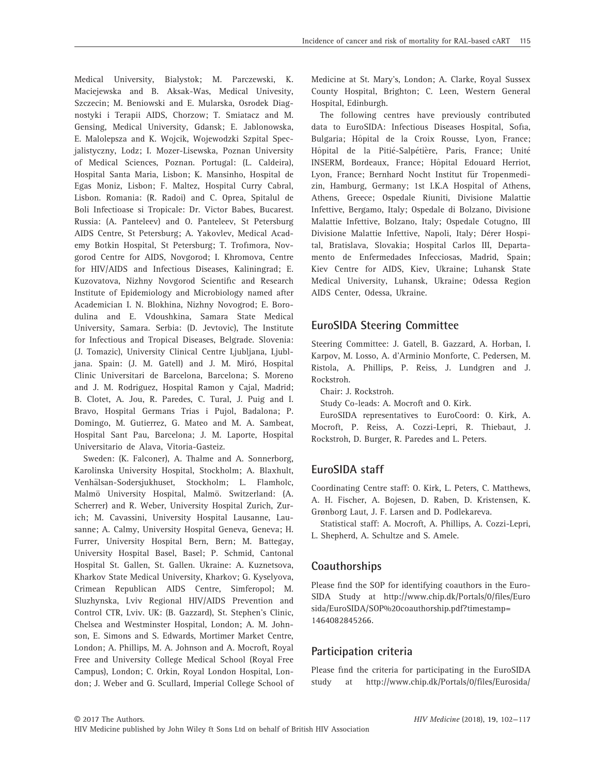Medical University, Bialystok; M. Parczewski, K. Maciejewska and B. Aksak-Was, Medical Univesity, Szczecin; M. Beniowski and E. Mularska, Osrodek Diagnostyki i Terapii AIDS, Chorzow; T. Smiatacz and M. Gensing, Medical University, Gdansk; E. Jablonowska, E. Malolepsza and K. Wojcik, Wojewodzki Szpital Specjalistyczny, Lodz; I. Mozer-Lisewska, Poznan University of Medical Sciences, Poznan. Portugal: (L. Caldeira), Hospital Santa Maria, Lisbon; K. Mansinho, Hospital de Egas Moniz, Lisbon; F. Maltez, Hospital Curry Cabral, Lisbon. Romania: (R. Radoi) and C. Oprea, Spitalul de Boli Infectioase si Tropicale: Dr. Victor Babes, Bucarest. Russia: (A. Panteleev) and O. Panteleev, St Petersburg AIDS Centre, St Petersburg; A. Yakovlev, Medical Academy Botkin Hospital, St Petersburg; T. Trofimora, Novgorod Centre for AIDS, Novgorod; I. Khromova, Centre for HIV/AIDS and Infectious Diseases, Kaliningrad; E. Kuzovatova, Nizhny Novgorod Scientific and Research Institute of Epidemiology and Microbiology named after Academician I. N. Blokhina, Nizhny Novogrod; E. Borodulina and E. Vdoushkina, Samara State Medical University, Samara. Serbia: (D. Jevtovic), The Institute for Infectious and Tropical Diseases, Belgrade. Slovenia: (J. Tomazic), University Clinical Centre Ljubljana, Ljubljana. Spain: (J. M. Gatell) and J. M. Miró, Hospital Clinic Universitari de Barcelona, Barcelona; S. Moreno and J. M. Rodriguez, Hospital Ramon y Cajal, Madrid; B. Clotet, A. Jou, R. Paredes, C. Tural, J. Puig and I. Bravo, Hospital Germans Trias i Pujol, Badalona; P. Domingo, M. Gutierrez, G. Mateo and M. A. Sambeat, Hospital Sant Pau, Barcelona; J. M. Laporte, Hospital Universitario de Alava, Vitoria-Gasteiz.

Sweden: (K. Falconer), A. Thalme and A. Sonnerborg, Karolinska University Hospital, Stockholm; A. Blaxhult, Venhälsan-Sodersjukhuset, Stockholm; L. Flamholc, Malmö University Hospital, Malmö. Switzerland: (A. Scherrer) and R. Weber, University Hospital Zurich, Zurich; M. Cavassini, University Hospital Lausanne, Lausanne; A. Calmy, University Hospital Geneva, Geneva; H. Furrer, University Hospital Bern, Bern; M. Battegay, University Hospital Basel, Basel; P. Schmid, Cantonal Hospital St. Gallen, St. Gallen. Ukraine: A. Kuznetsova, Kharkov State Medical University, Kharkov; G. Kyselyova, Crimean Republican AIDS Centre, Simferopol; M. Sluzhynska, Lviv Regional HIV/AIDS Prevention and Control CTR, Lviv. UK: (B. Gazzard), St. Stephen's Clinic, Chelsea and Westminster Hospital, London; A. M. Johnson, E. Simons and S. Edwards, Mortimer Market Centre, London; A. Phillips, M. A. Johnson and A. Mocroft, Royal Free and University College Medical School (Royal Free Campus), London; C. Orkin, Royal London Hospital, London; J. Weber and G. Scullard, Imperial College School of Medicine at St. Mary's, London; A. Clarke, Royal Sussex County Hospital, Brighton; C. Leen, Western General Hospital, Edinburgh.

The following centres have previously contributed data to EuroSIDA: Infectious Diseases Hospital, Sofia, Bulgaria; Hôpital de la Croix Rousse, Lyon, France; Hôpital de la Pitié-Salpétière, Paris, France; Unité INSERM, Bordeaux, France; Hôpital Edouard Herriot, Lyon, France; Bernhard Nocht Institut für Tropenmedizin, Hamburg, Germany; 1st I.K.A Hospital of Athens, Athens, Greece; Ospedale Riuniti, Divisione Malattie Infettive, Bergamo, Italy; Ospedale di Bolzano, Divisione Malattie Infettive, Bolzano, Italy; Ospedale Cotugno, III Divisione Malattie Infettive, Napoli, Italy; Dérer Hospital, Bratislava, Slovakia; Hospital Carlos III, Departamento de Enfermedades Infecciosas, Madrid, Spain; Kiev Centre for AIDS, Kiev, Ukraine; Luhansk State Medical University, Luhansk, Ukraine; Odessa Region AIDS Center, Odessa, Ukraine.

## EuroSIDA Steering Committee

Steering Committee: J. Gatell, B. Gazzard, A. Horban, I. Karpov, M. Losso, A. d'Arminio Monforte, C. Pedersen, M. Ristola, A. Phillips, P. Reiss, J. Lundgren and J. Rockstroh.

Chair: J. Rockstroh.

Study Co-leads: A. Mocroft and O. Kirk.

EuroSIDA representatives to EuroCoord: O. Kirk, A. Mocroft, P. Reiss, A. Cozzi-Lepri, R. Thiebaut, J. Rockstroh, D. Burger, R. Paredes and L. Peters.

## EuroSIDA staff

Coordinating Centre staff: O. Kirk, L. Peters, C. Matthews, A. H. Fischer, A. Bojesen, D. Raben, D. Kristensen, K. Grønborg Laut, J. F. Larsen and D. Podlekareva.

Statistical staff: A. Mocroft, A. Phillips, A. Cozzi-Lepri, L. Shepherd, A. Schultze and S. Amele.

# Coauthorships

Please find the SOP for identifying coauthors in the Euro-SIDA Study at [http://www.chip.dk/Portals/0/files/Euro](http://www.chip.dk/Portals/0/files/Eurosida/EuroSIDA/SOP%20coauthorship.pdf?timestamp=1464082845266) [sida/EuroSIDA/SOP%20coauthorship.pdf?timestamp=](http://www.chip.dk/Portals/0/files/Eurosida/EuroSIDA/SOP%20coauthorship.pdf?timestamp=1464082845266) [1464082845266](http://www.chip.dk/Portals/0/files/Eurosida/EuroSIDA/SOP%20coauthorship.pdf?timestamp=1464082845266).

## Participation criteria

Please find the criteria for participating in the EuroSIDA study at [http://www.chip.dk/Portals/0/files/Eurosida/](http://www.chip.dk/Portals/0/files/Eurosida/EuroSIDA/Criteria%20for%20participation%20in%20EuroSIDA%20and%20for%20site%20inactivation.pdf?timestamp=1464080873590)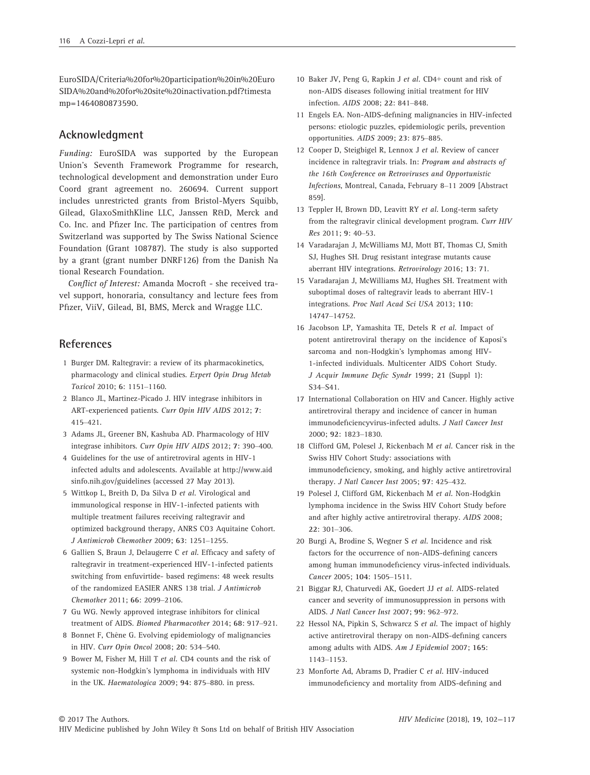[EuroSIDA/Criteria%20for%20participation%20in%20Euro](http://www.chip.dk/Portals/0/files/Eurosida/EuroSIDA/Criteria%20for%20participation%20in%20EuroSIDA%20and%20for%20site%20inactivation.pdf?timestamp=1464080873590) [SIDA%20and%20for%20site%20inactivation.pdf?timesta](http://www.chip.dk/Portals/0/files/Eurosida/EuroSIDA/Criteria%20for%20participation%20in%20EuroSIDA%20and%20for%20site%20inactivation.pdf?timestamp=1464080873590) [mp=1464080873590](http://www.chip.dk/Portals/0/files/Eurosida/EuroSIDA/Criteria%20for%20participation%20in%20EuroSIDA%20and%20for%20site%20inactivation.pdf?timestamp=1464080873590).

# Acknowledgment

Funding: EuroSIDA was supported by the European Union's Seventh Framework Programme for research, technological development and demonstration under [Euro](http://www.eurocoord.net/) [Coord](http://www.eurocoord.net/) grant agreement no. 260694. Current support includes unrestricted grants from Bristol-Myers Squibb, Gilead, GlaxoSmithKline LLC, Janssen R&D, Merck and Co. Inc. and Pfizer Inc. The participation of centres from Switzerland was supported by The Swiss National Science Foundation (Grant 108787). The study is also supported by a grant (grant number DNRF126) from the [Danish Na](http://dg.dk/en/) [tional Research Foundation.](http://dg.dk/en/)

Conflict of Interest: Amanda Mocroft - she received travel support, honoraria, consultancy and lecture fees from Pfizer, ViiV, Gilead, BI, BMS, Merck and Wragge LLC.

# References

- 1 Burger DM. Raltegravir: a review of its pharmacokinetics, pharmacology and clinical studies. Expert Opin Drug Metab Toxicol 2010; 6: 1151–1160.
- 2 Blanco JL, Martinez-Picado J. HIV integrase inhibitors in ART-experienced patients. Curr Opin HIV AIDS 2012; 7: 415–421.
- 3 Adams JL, Greener BN, Kashuba AD. Pharmacology of HIV integrase inhibitors. Curr Opin HIV AIDS 2012; 7: 390–400.
- 4 Guidelines for the use of antiretroviral agents in HIV-1 infected adults and adolescents. Available at [http://www.aid](http://www.aidsinfo.nih.gov/guidelines) [sinfo.nih.gov/guidelines](http://www.aidsinfo.nih.gov/guidelines) (accessed 27 May 2013).
- 5 Wittkop L, Breith D, Da Silva D et al. Virological and immunological response in HIV-1-infected patients with multiple treatment failures receiving raltegravir and optimized background therapy, ANRS CO3 Aquitaine Cohort. J Antimicrob Chemother 2009; 63: 1251–1255.
- 6 Gallien S, Braun J, Delaugerre C et al. Efficacy and safety of raltegravir in treatment-experienced HIV-1-infected patients switching from enfuvirtide- based regimens: 48 week results of the randomized EASIER ANRS 138 trial. J Antimicrob Chemother 2011; 66: 2099–2106.
- 7 Gu WG. Newly approved integrase inhibitors for clinical treatment of AIDS. Biomed Pharmacother 2014; 68: 917–921.
- 8 Bonnet F, Chêne G. Evolving epidemiology of malignancies in HIV. Curr Opin Oncol 2008; 20: 534–540.
- 9 Bower M, Fisher M, Hill T et al. CD4 counts and the risk of systemic non-Hodgkin's lymphoma in individuals with HIV in the UK. Haematologica 2009; 94: 875–880. in press.
- 10 Baker JV, Peng G, Rapkin J et al. CD4+ count and risk of non-AIDS diseases following initial treatment for HIV infection. AIDS 2008; 22: 841–848.
- 11 Engels EA. Non-AIDS-defining malignancies in HIV-infected persons: etiologic puzzles, epidemiologic perils, prevention opportunities. AIDS 2009; 23: 875–885.
- 12 Cooper D, Steigbigel R, Lennox J et al. Review of cancer incidence in raltegravir trials. In: Program and abstracts of the 16th Conference on Retroviruses and Opportunistic Infections, Montreal, Canada, February 8–11 2009 [Abstract 859].
- 13 Teppler H, Brown DD, Leavitt RY et al. Long-term safety from the raltegravir clinical development program. Curr HIV Res 2011; 9: 40–53.
- 14 Varadarajan J, McWilliams MJ, Mott BT, Thomas CJ, Smith SJ, Hughes SH. Drug resistant integrase mutants cause aberrant HIV integrations. Retrovirology 2016; 13: 71.
- 15 Varadarajan J, McWilliams MJ, Hughes SH. Treatment with suboptimal doses of raltegravir leads to aberrant HIV-1 integrations. Proc Natl Acad Sci USA 2013; 110: 14747–14752.
- 16 Jacobson LP, Yamashita TE, Detels R et al. Impact of potent antiretroviral therapy on the incidence of Kaposi's sarcoma and non-Hodgkin's lymphomas among HIV-1-infected individuals. Multicenter AIDS Cohort Study. J Acquir Immune Defic Syndr 1999; 21 (Suppl 1): S34–S41.
- 17 International Collaboration on HIV and Cancer. Highly active antiretroviral therapy and incidence of cancer in human immunodeficiencyvirus-infected adults. J Natl Cancer Inst 2000; 92: 1823–1830.
- 18 Clifford GM, Polesel J, Rickenbach M et al. Cancer risk in the Swiss HIV Cohort Study: associations with immunodeficiency, smoking, and highly active antiretroviral therapy. J Natl Cancer Inst 2005; 97: 425–432.
- 19 Polesel J, Clifford GM, Rickenbach M et al. Non-Hodgkin lymphoma incidence in the Swiss HIV Cohort Study before and after highly active antiretroviral therapy. AIDS 2008; 22: 301–306.
- 20 Burgi A, Brodine S, Wegner S et al. Incidence and risk factors for the occurrence of non-AIDS-defining cancers among human immunodeficiency virus-infected individuals. Cancer 2005; 104: 1505–1511.
- 21 Biggar RJ, Chaturvedi AK, Goedert JJ et al. AIDS-related cancer and severity of immunosuppression in persons with AIDS. J Natl Cancer Inst 2007; 99: 962–972.
- 22 Hessol NA, Pipkin S, Schwarcz S et al. The impact of highly active antiretroviral therapy on non-AIDS-defining cancers among adults with AIDS. Am J Epidemiol 2007; 165: 1143–1153.
- 23 Monforte Ad, Abrams D, Pradier C et al. HIV-induced immunodeficiency and mortality from AIDS-defining and